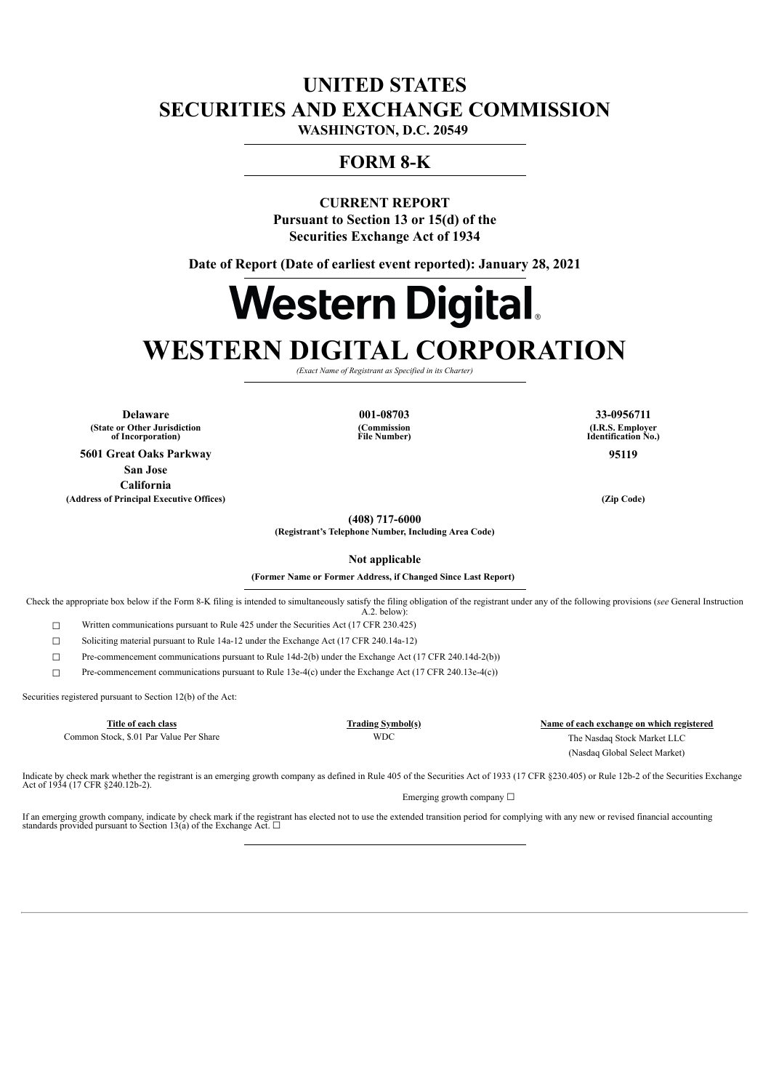### **UNITED STATES SECURITIES AND EXCHANGE COMMISSION**

**WASHINGTON, D.C. 20549**

### **FORM 8-K**

**CURRENT REPORT Pursuant to Section 13 or 15(d) of the Securities Exchange Act of 1934**

**Date of Report (Date of earliest event reported): January 28, 2021**

# **Western Digital.**

## **WESTERN DIGITAL CORPORATION**

*(Exact Name of Registrant as Specified in its Charter)*

**(State or Other Jurisdiction of Incorporation)**

**5601 Great Oaks Parkway 95119 San Jose California (Address of Principal Executive Offices) (Zip Code)**

**(Commission File Number)**

**Delaware 001-08703 33-0956711 (I.R.S. Employer Identification No.)**

**(408) 717-6000**

**(Registrant's Telephone Number, Including Area Code)**

**Not applicable**

**(Former Name or Former Address, if Changed Since Last Report)**

Check the appropriate box below if the Form 8-K filing is intended to simultaneously satisfy the filing obligation of the registrant under any of the following provisions (*see* General Instruction A.2. below):

☐ Written communications pursuant to Rule 425 under the Securities Act (17 CFR 230.425)

☐ Soliciting material pursuant to Rule 14a-12 under the Exchange Act (17 CFR 240.14a-12)

☐ Pre-commencement communications pursuant to Rule 14d-2(b) under the Exchange Act (17 CFR 240.14d-2(b))

☐ Pre-commencement communications pursuant to Rule 13e-4(c) under the Exchange Act (17 CFR 240.13e-4(c))

Securities registered pursuant to Section 12(b) of the Act:

**Title of each class Trading Symbol(s) Name of each exchange on which registered**

Common Stock, \$.01 Par Value Per Share WDC The Nasdaq Stock Market LLC (Nasdaq Global Select Market)

Indicate by check mark whether the registrant is an emerging growth company as defined in Rule 405 of the Securities Act of 1933 (17 CFR §230.405) or Rule 12b-2 of the Securities Exchange Act of 1934 (17 CFR §240.12b-2).

Emerging growth company ☐

If an emerging growth company, indicate by check mark if the registrant has elected not to use the extended transition period for complying with any new or revised financial accounting<br>standards provided pursuant to Sectio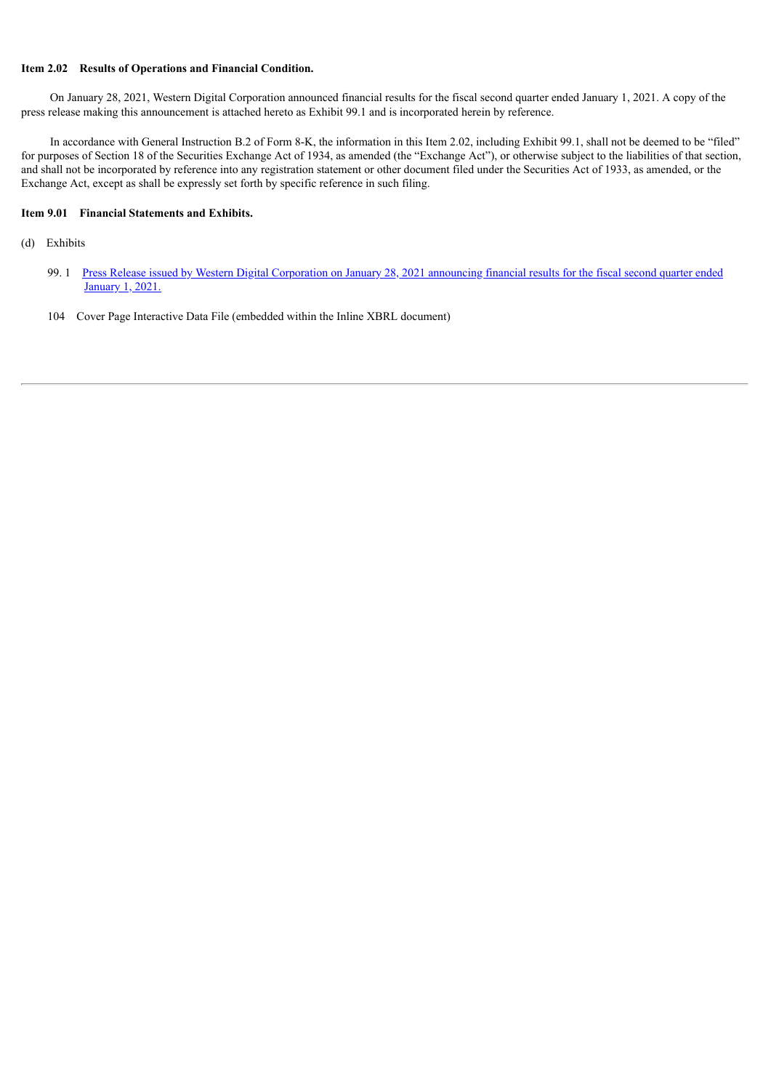#### **Item 2.02 Results of Operations and Financial Condition.**

On January 28, 2021, Western Digital Corporation announced financial results for the fiscal second quarter ended January 1, 2021. A copy of the press release making this announcement is attached hereto as Exhibit 99.1 and is incorporated herein by reference.

In accordance with General Instruction B.2 of Form 8-K, the information in this Item 2.02, including Exhibit 99.1, shall not be deemed to be "filed" for purposes of Section 18 of the Securities Exchange Act of 1934, as amended (the "Exchange Act"), or otherwise subject to the liabilities of that section, and shall not be incorporated by reference into any registration statement or other document filed under the Securities Act of 1933, as amended, or the Exchange Act, except as shall be expressly set forth by specific reference in such filing.

#### **Item 9.01 Financial Statements and Exhibits.**

- (d) Exhibits
	- 99. 1 Press Release issued by Western Digital [Corporation](#page-3-0) on January 28, 2021 announcing financial results for the fiscal second quarter ended January 1, 2021.
	- 104 Cover Page Interactive Data File (embedded within the Inline XBRL document)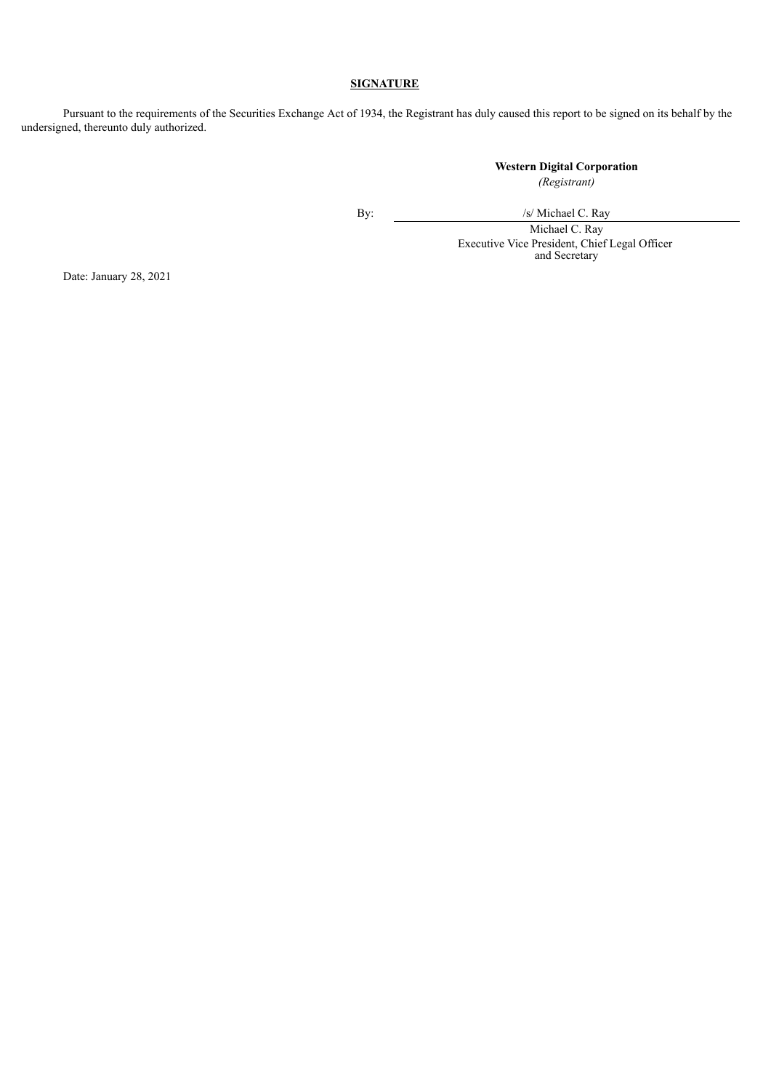#### **SIGNATURE**

Pursuant to the requirements of the Securities Exchange Act of 1934, the Registrant has duly caused this report to be signed on its behalf by the undersigned, thereunto duly authorized.

> **Western Digital Corporation** *(Registrant)*

By:  $\frac{1}{s}$  /s/ Michael C. Ray

Michael C. Ray Executive Vice President, Chief Legal Officer and Secretary

Date: January 28, 2021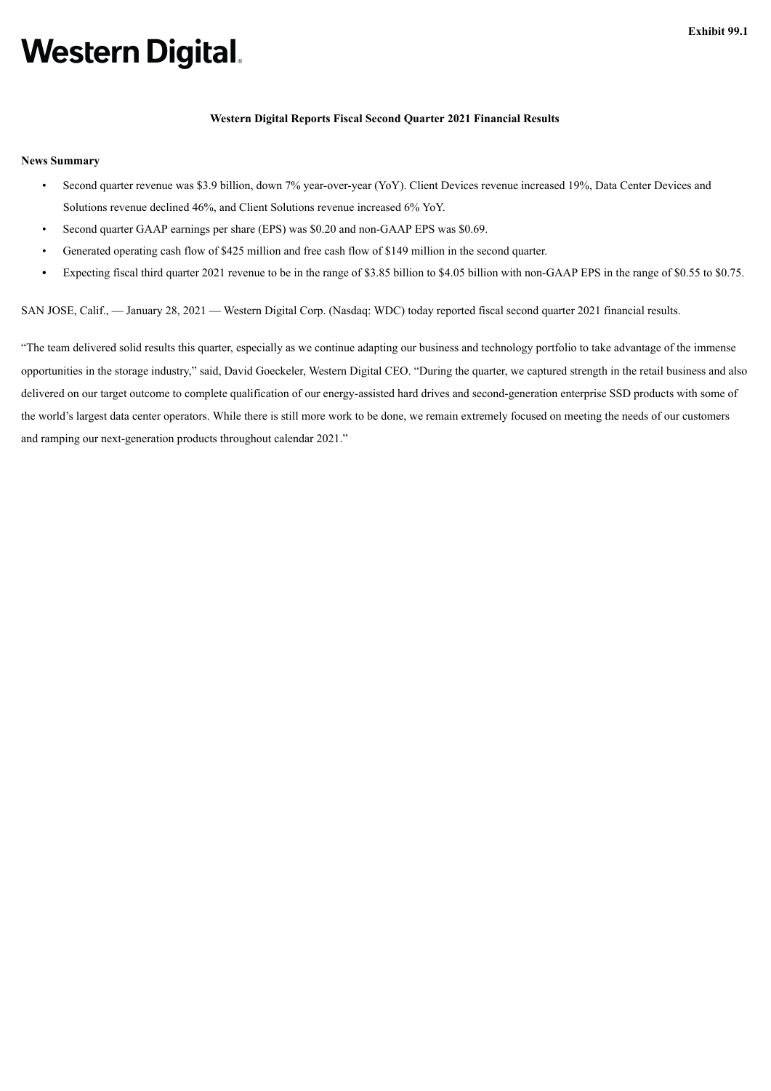## <span id="page-3-0"></span>**Western Digital.**

#### **Western Digital Reports Fiscal Second Quarter 2021 Financial Results**

#### **News Summary**

- Second quarter revenue was \$3.9 billion, down 7% year-over-year (YoY). Client Devices revenue increased 19%, Data Center Devices and Solutions revenue declined 46%, and Client Solutions revenue increased 6% YoY.
- Second quarter GAAP earnings per share (EPS) was \$0.20 and non-GAAP EPS was \$0.69.
- Generated operating cash flow of \$425 million and free cash flow of \$149 million in the second quarter.
- **•** Expecting fiscal third quarter 2021 revenue to be in the range of \$3.85 billion to \$4.05 billion with non-GAAP EPS in the range of \$0.55 to \$0.75.

SAN JOSE, Calif., — January 28, 2021 — Western Digital Corp. (Nasdaq: WDC) today reported fiscal second quarter 2021 financial results.

"The team delivered solid results this quarter, especially as we continue adapting our business and technology portfolio to take advantage of the immense opportunities in the storage industry," said, David Goeckeler, Western Digital CEO. "During the quarter, we captured strength in the retail business and also delivered on our target outcome to complete qualification of our energy-assisted hard drives and second-generation enterprise SSD products with some of the world's largest data center operators. While there is still more work to be done, we remain extremely focused on meeting the needs of our customers and ramping our next-generation products throughout calendar 2021."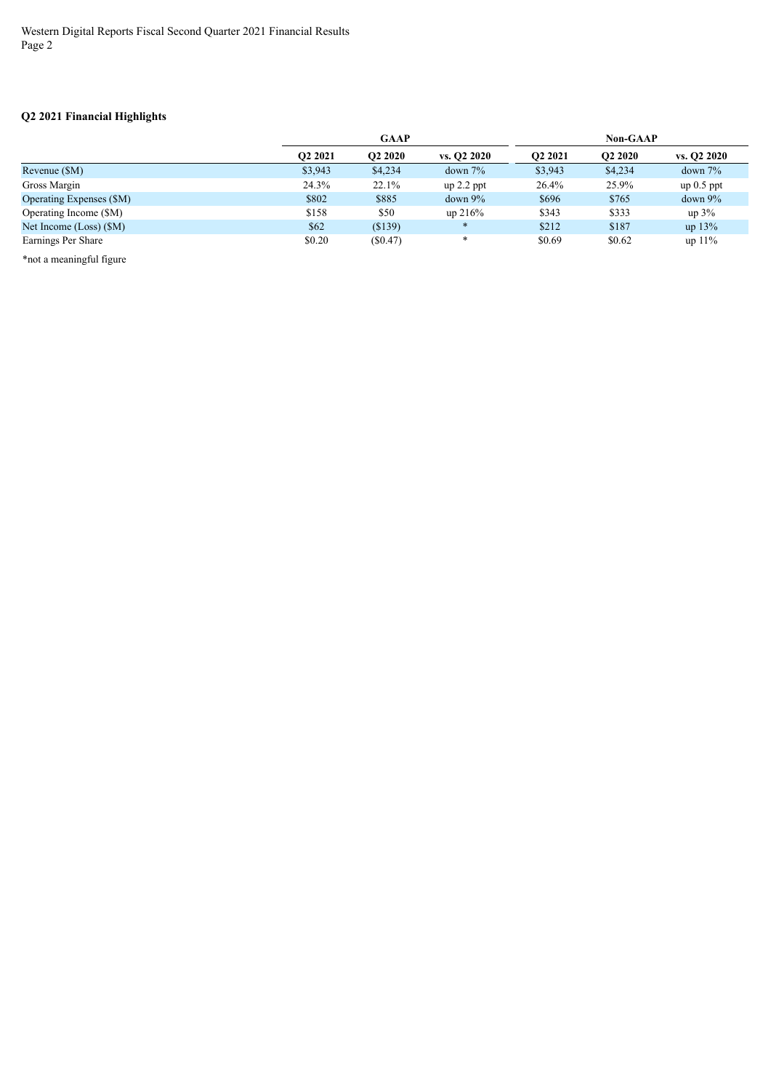#### **Q2 2021 Financial Highlights**

|                            | <b>GAAP</b>         |                     |              |                     | <b>Non-GAAP</b>     |               |
|----------------------------|---------------------|---------------------|--------------|---------------------|---------------------|---------------|
|                            | O <sub>2</sub> 2021 | O <sub>2</sub> 2020 | vs. Q2 2020  | O <sub>2</sub> 2021 | O <sub>2</sub> 2020 | vs. Q2 2020   |
| Revenue (SM)               | \$3,943             | \$4,234             | $down 7\%$   | \$3,943             | \$4,234             | down $7\%$    |
| Gross Margin               | 24.3%               | $22.1\%$            | $up 2.2$ ppt | 26.4%               | 25.9%               | $up\ 0.5$ ppt |
| Operating Expenses (\$M)   | \$802               | \$885               | down $9\%$   | \$696               | \$765               | $down 9\%$    |
| Operating Income (\$M)     | \$158               | \$50                | $up\ 216\%$  | \$343               | \$333               | up $3\%$      |
| Net Income $(Loss)$ $(SM)$ | \$62                | (\$139)             | $\ast$       | \$212               | \$187               | up $13\%$     |
| Earnings Per Share         | \$0.20              | (S0.47)             | $\ast$       | \$0.69              | \$0.62              | up $11\%$     |

\*not a meaningful figure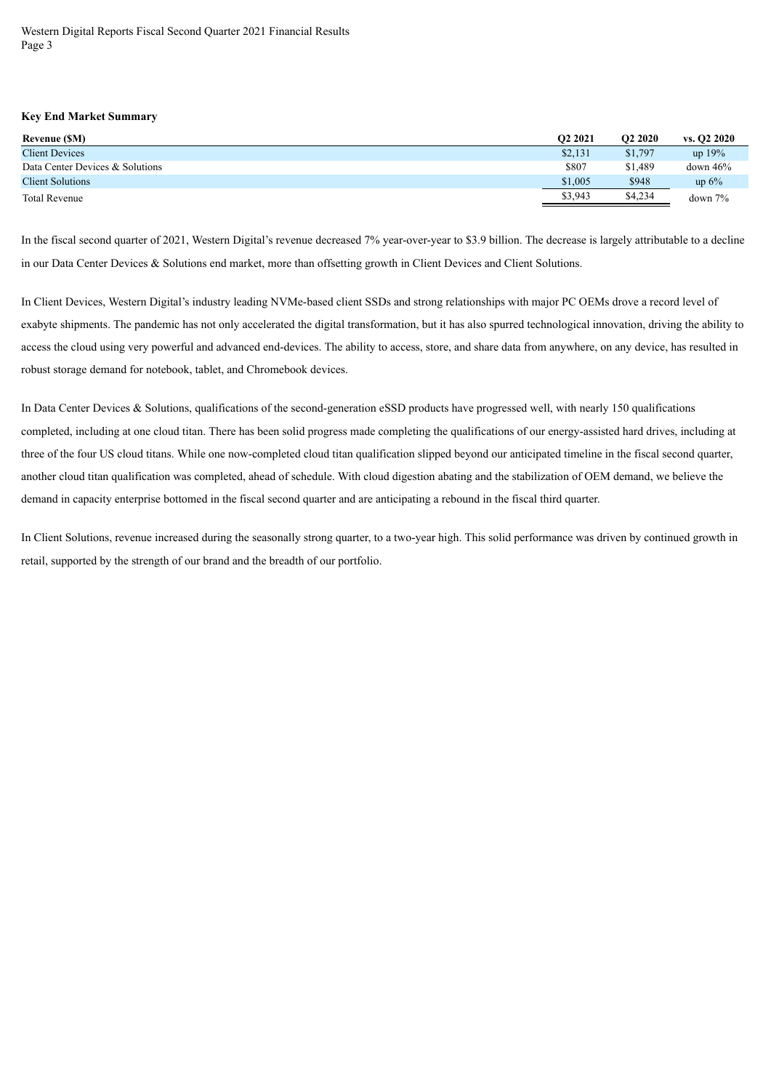#### **Key End Market Summary**

| Revenue (SM)                    | O <sub>2</sub> 2021 | O <sub>2</sub> 2020 | vs. O2 2020 |
|---------------------------------|---------------------|---------------------|-------------|
| <b>Client Devices</b>           | \$2,131             | \$1,797             | up $19\%$   |
| Data Center Devices & Solutions | \$807               | \$1,489             | down $46%$  |
| <b>Client Solutions</b>         | \$1,005             | \$948               | up $6\%$    |
| <b>Total Revenue</b>            | \$3,943             | \$4,234             | down $7%$   |

In the fiscal second quarter of 2021, Western Digital's revenue decreased 7% year-over-year to \$3.9 billion. The decrease is largely attributable to a decline in our Data Center Devices & Solutions end market, more than offsetting growth in Client Devices and Client Solutions.

In Client Devices, Western Digital's industry leading NVMe-based client SSDs and strong relationships with major PC OEMs drove a record level of exabyte shipments. The pandemic has not only accelerated the digital transformation, but it has also spurred technological innovation, driving the ability to access the cloud using very powerful and advanced end-devices. The ability to access, store, and share data from anywhere, on any device, has resulted in robust storage demand for notebook, tablet, and Chromebook devices.

In Data Center Devices & Solutions, qualifications of the second-generation eSSD products have progressed well, with nearly 150 qualifications completed, including at one cloud titan. There has been solid progress made completing the qualifications of our energy-assisted hard drives, including at three of the four US cloud titans. While one now-completed cloud titan qualification slipped beyond our anticipated timeline in the fiscal second quarter, another cloud titan qualification was completed, ahead of schedule. With cloud digestion abating and the stabilization of OEM demand, we believe the demand in capacity enterprise bottomed in the fiscal second quarter and are anticipating a rebound in the fiscal third quarter.

In Client Solutions, revenue increased during the seasonally strong quarter, to a two-year high. This solid performance was driven by continued growth in retail, supported by the strength of our brand and the breadth of our portfolio.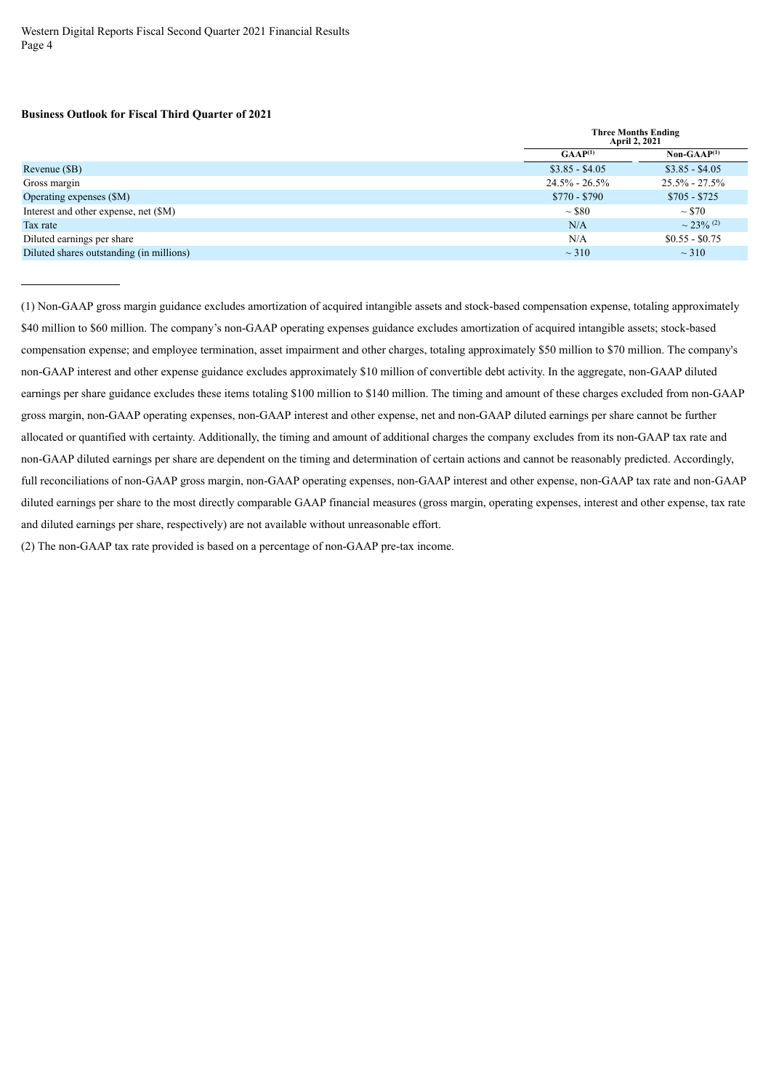#### **Business Outlook for Fiscal Third Quarter of 2021**

|                                          | <b>Three Months Ending</b><br><b>April 2, 2021</b> |                           |
|------------------------------------------|----------------------------------------------------|---------------------------|
|                                          | GAAP <sup>(1)</sup>                                | $Non-GAAP(1)$             |
| Revenue (\$B)                            | $$3.85 - $4.05$                                    | $$3.85 - $4.05$           |
| Gross margin                             | $24.5\% - 26.5\%$                                  | $25.5\% - 27.5\%$         |
| Operating expenses (\$M)                 | $$770 - $790$                                      | $$705 - $725$             |
| Interest and other expense, net (\$M)    | $\sim$ \$80                                        | $\sim$ \$70               |
| Tax rate                                 | N/A                                                | $\sim$ 23% <sup>(2)</sup> |
| Diluted earnings per share               | N/A                                                | $$0.55 - $0.75$           |
| Diluted shares outstanding (in millions) | $\sim$ 310                                         | $\sim$ 310                |
|                                          |                                                    |                           |

(1) Non-GAAP gross margin guidance excludes amortization of acquired intangible assets and stock-based compensation expense, totaling approximately \$40 million to \$60 million. The company's non-GAAP operating expenses guidance excludes amortization of acquired intangible assets; stock-based compensation expense; and employee termination, asset impairment and other charges, totaling approximately \$50 million to \$70 million. The company's non-GAAP interest and other expense guidance excludes approximately \$10 million of convertible debt activity. In the aggregate, non-GAAP diluted earnings per share guidance excludes these items totaling \$100 million to \$140 million. The timing and amount of these charges excluded from non-GAAP gross margin, non-GAAP operating expenses, non-GAAP interest and other expense, net and non-GAAP diluted earnings per share cannot be further allocated or quantified with certainty. Additionally, the timing and amount of additional charges the company excludes from its non-GAAP tax rate and non-GAAP diluted earnings per share are dependent on the timing and determination of certain actions and cannot be reasonably predicted. Accordingly, full reconciliations of non-GAAP gross margin, non-GAAP operating expenses, non-GAAP interest and other expense, non-GAAP tax rate and non-GAAP diluted earnings per share to the most directly comparable GAAP financial measures (gross margin, operating expenses, interest and other expense, tax rate and diluted earnings per share, respectively) are not available without unreasonable effort.

(2) The non-GAAP tax rate provided is based on a percentage of non-GAAP pre-tax income.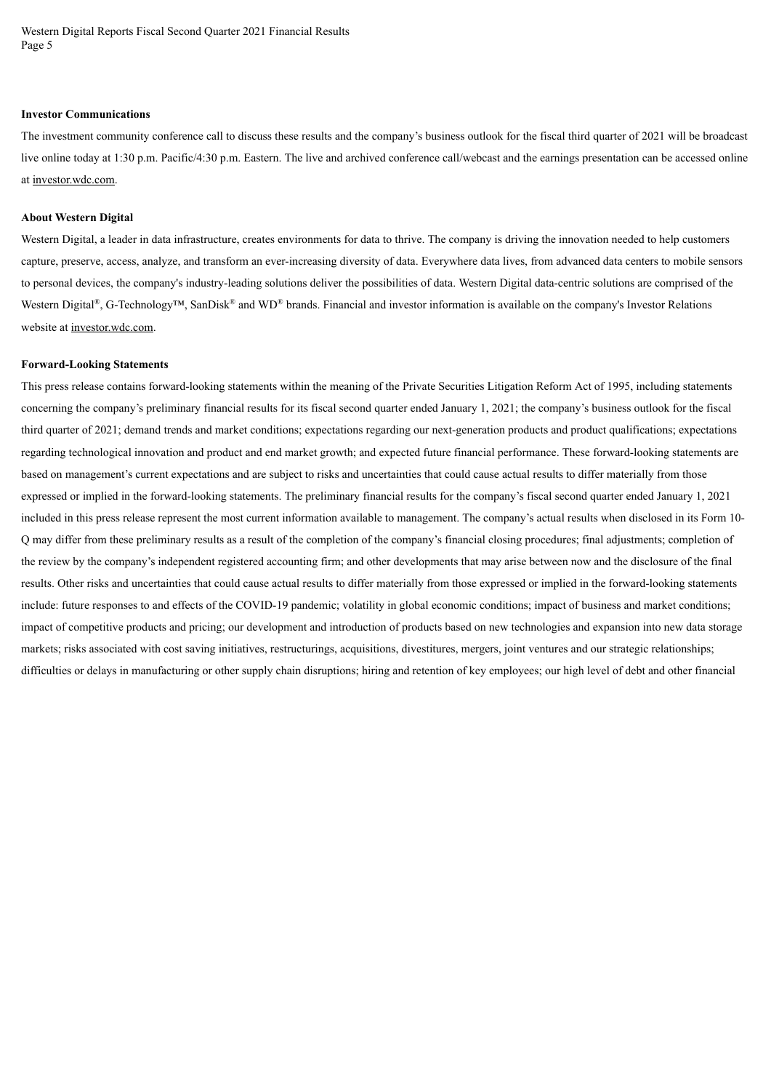#### **Investor Communications**

The investment community conference call to discuss these results and the company's business outlook for the fiscal third quarter of 2021 will be broadcast live online today at 1:30 p.m. Pacific/4:30 p.m. Eastern. The live and archived conference call/webcast and the earnings presentation can be accessed online at investor.wdc.com.

#### **About Western Digital**

Western Digital, a leader in data infrastructure, creates environments for data to thrive. The company is driving the innovation needed to help customers capture, preserve, access, analyze, and transform an ever-increasing diversity of data. Everywhere data lives, from advanced data centers to mobile sensors to personal devices, the company's industry-leading solutions deliver the possibilities of data. Western Digital data-centric solutions are comprised of the Western Digital®, G-Technology™, SanDisk<sup>®</sup> and WD<sup>®</sup> brands. Financial and investor information is available on the company's Investor Relations website at investor.wdc.com.

#### **Forward-Looking Statements**

This press release contains forward-looking statements within the meaning of the Private Securities Litigation Reform Act of 1995, including statements concerning the company's preliminary financial results for its fiscal second quarter ended January 1, 2021; the company's business outlook for the fiscal third quarter of 2021; demand trends and market conditions; expectations regarding our next-generation products and product qualifications; expectations regarding technological innovation and product and end market growth; and expected future financial performance. These forward-looking statements are based on management's current expectations and are subject to risks and uncertainties that could cause actual results to differ materially from those expressed or implied in the forward-looking statements. The preliminary financial results for the company's fiscal second quarter ended January 1, 2021 included in this press release represent the most current information available to management. The company's actual results when disclosed in its Form 10- Q may differ from these preliminary results as a result of the completion of the company's financial closing procedures; final adjustments; completion of the review by the company's independent registered accounting firm; and other developments that may arise between now and the disclosure of the final results. Other risks and uncertainties that could cause actual results to differ materially from those expressed or implied in the forward-looking statements include: future responses to and effects of the COVID-19 pandemic; volatility in global economic conditions; impact of business and market conditions; impact of competitive products and pricing; our development and introduction of products based on new technologies and expansion into new data storage markets; risks associated with cost saving initiatives, restructurings, acquisitions, divestitures, mergers, joint ventures and our strategic relationships; difficulties or delays in manufacturing or other supply chain disruptions; hiring and retention of key employees; our high level of debt and other financial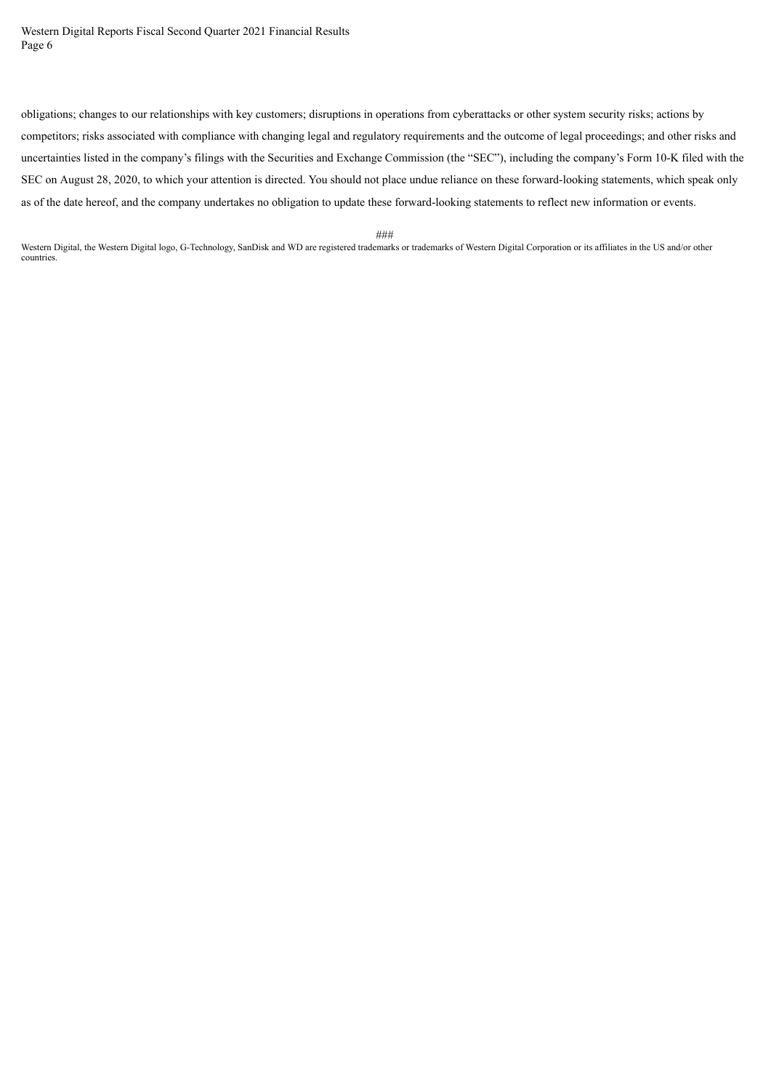obligations; changes to our relationships with key customers; disruptions in operations from cyberattacks or other system security risks; actions by competitors; risks associated with compliance with changing legal and regulatory requirements and the outcome of legal proceedings; and other risks and uncertainties listed in the company's filings with the Securities and Exchange Commission (the "SEC"), including the company's Form 10-K filed with the SEC on August 28, 2020, to which your attention is directed. You should not place undue reliance on these forward-looking statements, which speak only as of the date hereof, and the company undertakes no obligation to update these forward-looking statements to reflect new information or events.

###

Western Digital, the Western Digital logo, G-Technology, SanDisk and WD are registered trademarks or trademarks of Western Digital Corporation or its affiliates in the US and/or other countries.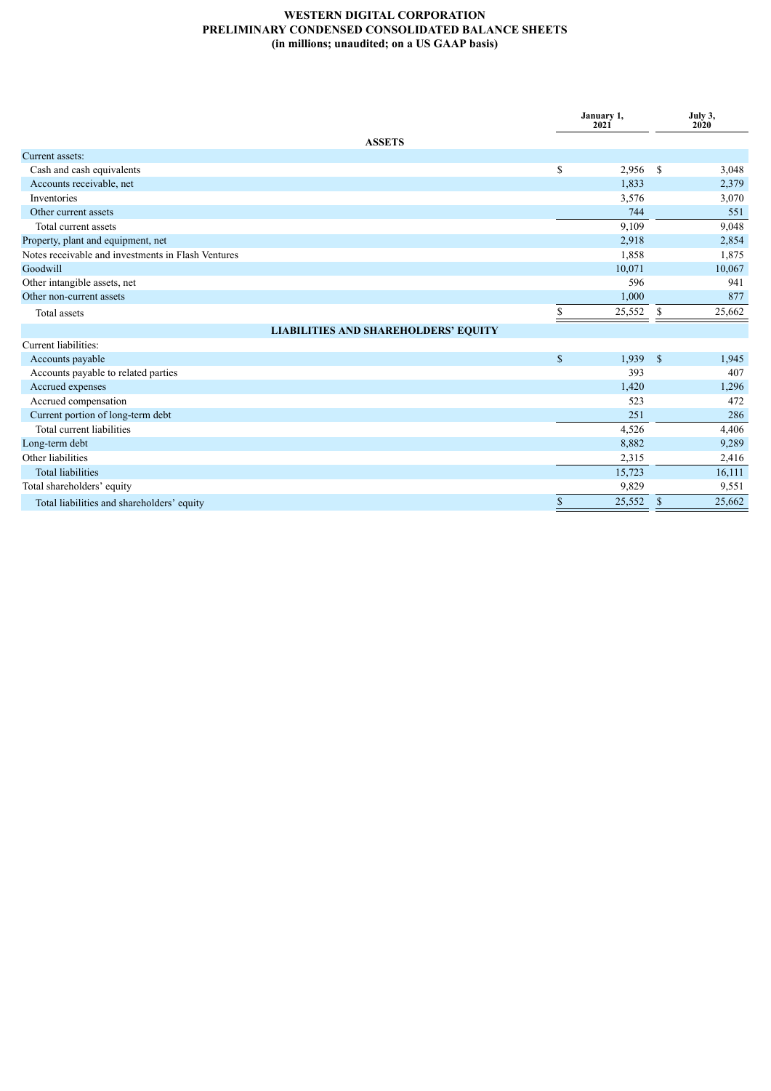#### **WESTERN DIGITAL CORPORATION PRELIMINARY CONDENSED CONSOLIDATED BALANCE SHEETS (in millions; unaudited; on a US GAAP basis)**

|                                                    | January 1,<br>2021    | July 3,<br>2020 |        |
|----------------------------------------------------|-----------------------|-----------------|--------|
| <b>ASSETS</b>                                      |                       |                 |        |
| Current assets:                                    |                       |                 |        |
| Cash and cash equivalents                          | \$<br>2,956           | \$              | 3,048  |
| Accounts receivable, net                           | 1,833                 |                 | 2,379  |
| Inventories                                        | 3,576                 |                 | 3,070  |
| Other current assets                               | 744                   |                 | 551    |
| Total current assets                               | 9,109                 |                 | 9,048  |
| Property, plant and equipment, net                 | 2,918                 |                 | 2,854  |
| Notes receivable and investments in Flash Ventures | 1,858                 |                 | 1,875  |
| Goodwill                                           | 10,071                |                 | 10,067 |
| Other intangible assets, net                       | 596                   |                 | 941    |
| Other non-current assets                           | 1,000                 |                 | 877    |
| Total assets                                       | 25,552                | S               | 25,662 |
| <b>LIABILITIES AND SHAREHOLDERS' EQUITY</b>        |                       |                 |        |
| Current liabilities:                               |                       |                 |        |
| Accounts payable                                   | $\mathbb{S}$<br>1,939 | $\mathbb{S}$    | 1,945  |
| Accounts payable to related parties                | 393                   |                 | 407    |
| Accrued expenses                                   | 1,420                 |                 | 1,296  |
| Accrued compensation                               | 523                   |                 | 472    |
| Current portion of long-term debt                  | 251                   |                 | 286    |
| Total current liabilities                          | 4,526                 |                 | 4,406  |
| Long-term debt                                     | 8,882                 |                 | 9,289  |
| Other liabilities                                  | 2,315                 |                 | 2,416  |
| <b>Total liabilities</b>                           | 15,723                |                 | 16,111 |
| Total shareholders' equity                         | 9,829                 |                 | 9,551  |
| Total liabilities and shareholders' equity         | \$<br>25,552          | $\mathbb{S}$    | 25,662 |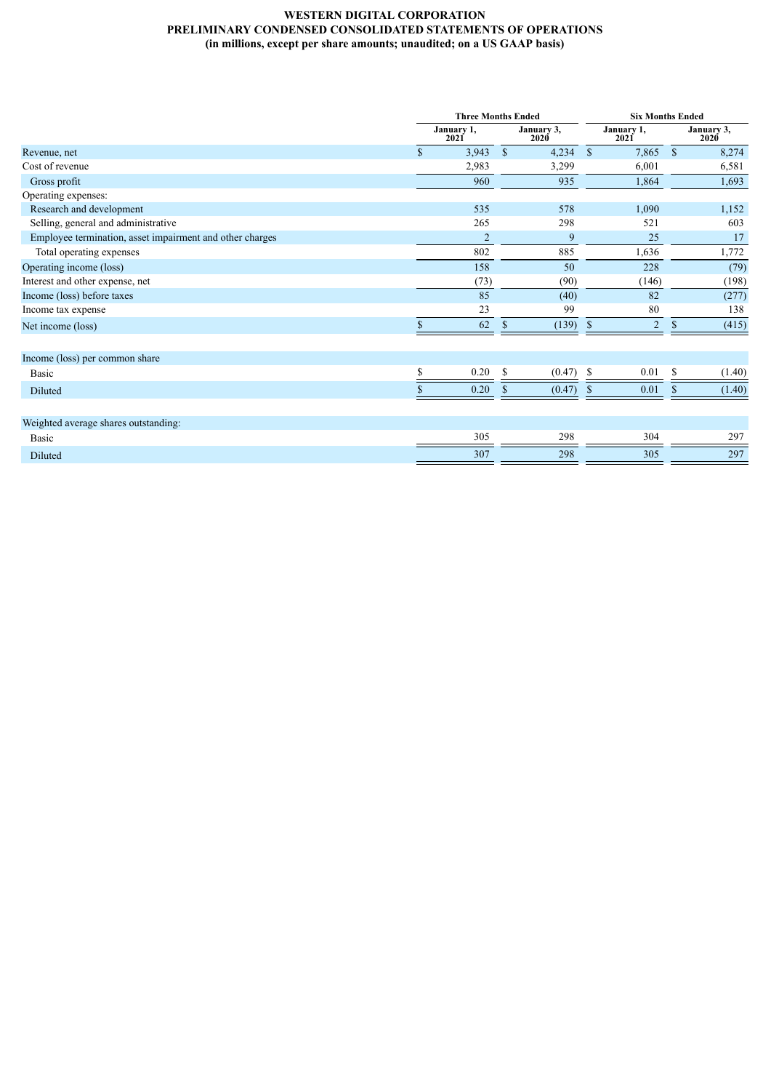#### **WESTERN DIGITAL CORPORATION PRELIMINARY CONDENSED CONSOLIDATED STATEMENTS OF OPERATIONS (in millions, except per share amounts; unaudited; on a US GAAP basis)**

|                                                          |              | <b>Three Months Ended</b> |               |                    |              | <b>Six Months Ended</b> |              |                           |  |
|----------------------------------------------------------|--------------|---------------------------|---------------|--------------------|--------------|-------------------------|--------------|---------------------------|--|
|                                                          |              | January 1,<br>2021        |               | January 3,<br>2020 |              | January 1,<br>2021      |              | January 3,<br><b>2020</b> |  |
| Revenue, net                                             | $\mathbb{S}$ | 3,943                     | $\mathbb{S}$  | 4,234              | $\mathbb{S}$ | 7,865                   | $\mathbb{S}$ | 8,274                     |  |
| Cost of revenue                                          |              | 2,983                     |               | 3,299              |              | 6,001                   |              | 6,581                     |  |
| Gross profit                                             |              | 960                       |               | 935                |              | 1,864                   |              | 1,693                     |  |
| Operating expenses:                                      |              |                           |               |                    |              |                         |              |                           |  |
| Research and development                                 |              | 535                       |               | 578                |              | 1,090                   |              | 1,152                     |  |
| Selling, general and administrative                      |              | 265                       |               | 298                |              | 521                     |              | 603                       |  |
| Employee termination, asset impairment and other charges |              | $\overline{2}$            |               | 9                  |              | 25                      |              | 17                        |  |
| Total operating expenses                                 |              | 802                       |               | 885                |              | 1,636                   |              | 1,772                     |  |
| Operating income (loss)                                  |              | 158                       |               | 50                 |              | 228                     |              | (79)                      |  |
| Interest and other expense, net                          |              | (73)                      |               | (90)               |              | (146)                   |              | (198)                     |  |
| Income (loss) before taxes                               |              | 85                        |               | (40)               |              | 82                      |              | (277)                     |  |
| Income tax expense                                       |              | 23                        |               | 99                 |              | 80                      |              | 138                       |  |
| Net income (loss)                                        |              | 62                        | <sup>\$</sup> | (139)              | <sup>S</sup> | $\overline{2}$          | $\mathbb{S}$ | (415)                     |  |
| Income (loss) per common share                           |              |                           |               |                    |              |                         |              |                           |  |
| <b>Basic</b>                                             | S            | 0.20                      | \$.           | (0.47)             | -S           | 0.01                    | \$           | (1.40)                    |  |
| Diluted                                                  |              | 0.20                      | <sup>\$</sup> | (0.47)             | \$           | 0.01                    | \$           | (1.40)                    |  |
| Weighted average shares outstanding:                     |              |                           |               |                    |              |                         |              |                           |  |
| <b>Basic</b>                                             |              | 305                       |               | 298                |              | 304                     |              | 297                       |  |
| Diluted                                                  |              | 307                       |               | 298                |              | 305                     |              | 297                       |  |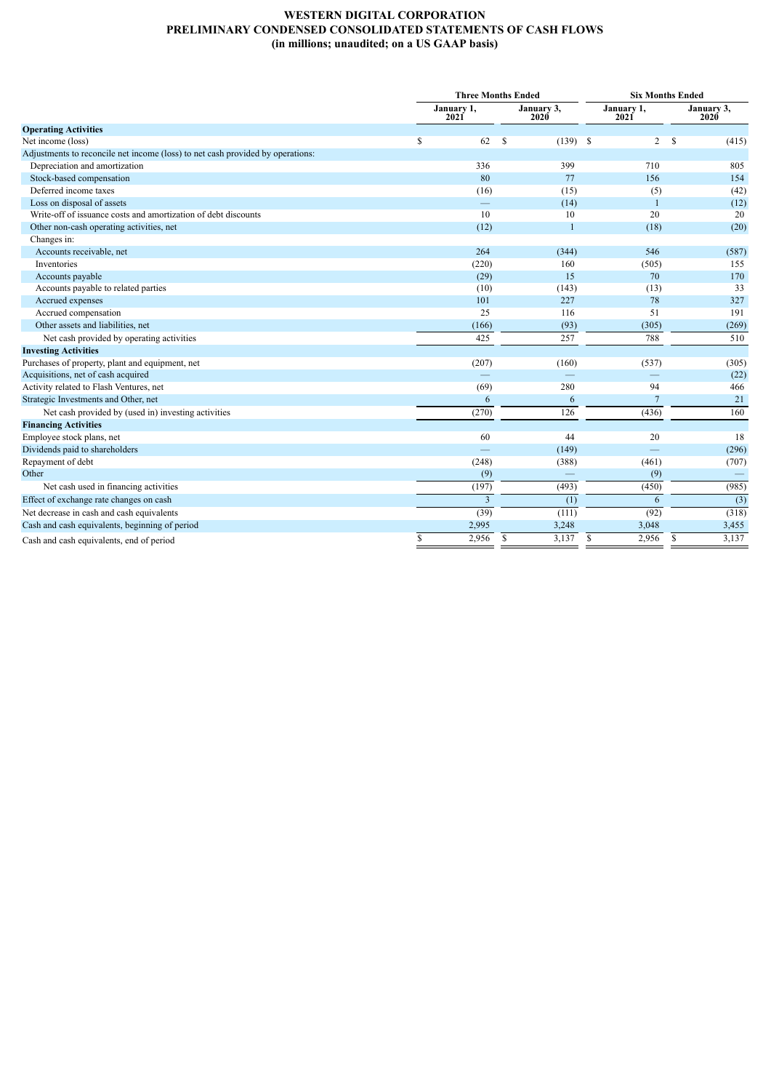#### **WESTERN DIGITAL CORPORATION PRELIMINARY CONDENSED CONSOLIDATED STATEMENTS OF CASH FLOWS (in millions; unaudited; on a US GAAP basis)**

| January 1,<br>January 1,<br>January 3,<br>January 3,<br>2021<br>2021<br>2020<br>2020<br><b>Operating Activities</b><br>\$<br>Net income (loss)<br>62<br><sup>\$</sup><br>(139)<br><sup>\$</sup><br>$\overline{2}$<br><sup>\$</sup><br>(415)<br>Adjustments to reconcile net income (loss) to net cash provided by operations:<br>Depreciation and amortization<br>336<br>399<br>710<br>805<br>80<br>156<br>154<br>Stock-based compensation<br>77<br>Deferred income taxes<br>(15)<br>(42)<br>(16)<br>(5)<br>Loss on disposal of assets<br>(12)<br>(14)<br>$\overline{1}$<br>Write-off of issuance costs and amortization of debt discounts<br>10<br>20<br>10<br>20<br>(20)<br>Other non-cash operating activities, net<br>(12)<br>(18)<br>Changes in:<br>264<br>Accounts receivable, net<br>(344)<br>546<br>(587)<br>Inventories<br>(220)<br>160<br>(505)<br>155<br>15<br>(29)<br>70<br>170<br>Accounts payable<br>Accounts payable to related parties<br>(10)<br>(13)<br>33<br>(143)<br>Accrued expenses<br>101<br>227<br>78<br>327<br>Accrued compensation<br>25<br>51<br>191<br>116<br>Other assets and liabilities, net<br>(269)<br>(166)<br>(93)<br>(305)<br>425<br>257<br>788<br>Net cash provided by operating activities<br>510<br><b>Investing Activities</b><br>(207)<br>Purchases of property, plant and equipment, net<br>(160)<br>(537)<br>(305)<br>Acquisitions, net of cash acquired<br>(22)<br>Ц.<br>94<br>Activity related to Flash Ventures, net<br>(69)<br>280<br>466<br>Strategic Investments and Other, net<br>21<br>6<br>6<br>$\overline{7}$<br>(270)<br>126<br>160<br>(436)<br>Net cash provided by (used in) investing activities<br><b>Financing Activities</b><br>20<br>18<br>Employee stock plans, net<br>60<br>44<br>Dividends paid to shareholders<br>(149)<br>(296)<br>(388)<br>(707)<br>Repayment of debt<br>(248)<br>(461)<br>(9)<br>(9)<br>Other<br>$\overline{\phantom{0}}$<br>(197)<br>(493)<br>Net cash used in financing activities<br>(450)<br>(985)<br>$\overline{3}$<br>Effect of exchange rate changes on cash<br>6<br>(3)<br>(1)<br>(318)<br>Net decrease in cash and cash equivalents<br>(39)<br>(111)<br>(92)<br>Cash and cash equivalents, beginning of period<br>2,995<br>3,248<br>3,048<br>3,455 |                                          | <b>Three Months Ended</b> |            |             | <b>Six Months Ended</b> |  |  |  |
|-------------------------------------------------------------------------------------------------------------------------------------------------------------------------------------------------------------------------------------------------------------------------------------------------------------------------------------------------------------------------------------------------------------------------------------------------------------------------------------------------------------------------------------------------------------------------------------------------------------------------------------------------------------------------------------------------------------------------------------------------------------------------------------------------------------------------------------------------------------------------------------------------------------------------------------------------------------------------------------------------------------------------------------------------------------------------------------------------------------------------------------------------------------------------------------------------------------------------------------------------------------------------------------------------------------------------------------------------------------------------------------------------------------------------------------------------------------------------------------------------------------------------------------------------------------------------------------------------------------------------------------------------------------------------------------------------------------------------------------------------------------------------------------------------------------------------------------------------------------------------------------------------------------------------------------------------------------------------------------------------------------------------------------------------------------------------------------------------------------------------------------------------------------------------------------------------------------------------------------------------|------------------------------------------|---------------------------|------------|-------------|-------------------------|--|--|--|
|                                                                                                                                                                                                                                                                                                                                                                                                                                                                                                                                                                                                                                                                                                                                                                                                                                                                                                                                                                                                                                                                                                                                                                                                                                                                                                                                                                                                                                                                                                                                                                                                                                                                                                                                                                                                                                                                                                                                                                                                                                                                                                                                                                                                                                                 |                                          |                           |            |             |                         |  |  |  |
|                                                                                                                                                                                                                                                                                                                                                                                                                                                                                                                                                                                                                                                                                                                                                                                                                                                                                                                                                                                                                                                                                                                                                                                                                                                                                                                                                                                                                                                                                                                                                                                                                                                                                                                                                                                                                                                                                                                                                                                                                                                                                                                                                                                                                                                 |                                          |                           |            |             |                         |  |  |  |
|                                                                                                                                                                                                                                                                                                                                                                                                                                                                                                                                                                                                                                                                                                                                                                                                                                                                                                                                                                                                                                                                                                                                                                                                                                                                                                                                                                                                                                                                                                                                                                                                                                                                                                                                                                                                                                                                                                                                                                                                                                                                                                                                                                                                                                                 |                                          |                           |            |             |                         |  |  |  |
|                                                                                                                                                                                                                                                                                                                                                                                                                                                                                                                                                                                                                                                                                                                                                                                                                                                                                                                                                                                                                                                                                                                                                                                                                                                                                                                                                                                                                                                                                                                                                                                                                                                                                                                                                                                                                                                                                                                                                                                                                                                                                                                                                                                                                                                 |                                          |                           |            |             |                         |  |  |  |
|                                                                                                                                                                                                                                                                                                                                                                                                                                                                                                                                                                                                                                                                                                                                                                                                                                                                                                                                                                                                                                                                                                                                                                                                                                                                                                                                                                                                                                                                                                                                                                                                                                                                                                                                                                                                                                                                                                                                                                                                                                                                                                                                                                                                                                                 |                                          |                           |            |             |                         |  |  |  |
|                                                                                                                                                                                                                                                                                                                                                                                                                                                                                                                                                                                                                                                                                                                                                                                                                                                                                                                                                                                                                                                                                                                                                                                                                                                                                                                                                                                                                                                                                                                                                                                                                                                                                                                                                                                                                                                                                                                                                                                                                                                                                                                                                                                                                                                 |                                          |                           |            |             |                         |  |  |  |
|                                                                                                                                                                                                                                                                                                                                                                                                                                                                                                                                                                                                                                                                                                                                                                                                                                                                                                                                                                                                                                                                                                                                                                                                                                                                                                                                                                                                                                                                                                                                                                                                                                                                                                                                                                                                                                                                                                                                                                                                                                                                                                                                                                                                                                                 |                                          |                           |            |             |                         |  |  |  |
|                                                                                                                                                                                                                                                                                                                                                                                                                                                                                                                                                                                                                                                                                                                                                                                                                                                                                                                                                                                                                                                                                                                                                                                                                                                                                                                                                                                                                                                                                                                                                                                                                                                                                                                                                                                                                                                                                                                                                                                                                                                                                                                                                                                                                                                 |                                          |                           |            |             |                         |  |  |  |
|                                                                                                                                                                                                                                                                                                                                                                                                                                                                                                                                                                                                                                                                                                                                                                                                                                                                                                                                                                                                                                                                                                                                                                                                                                                                                                                                                                                                                                                                                                                                                                                                                                                                                                                                                                                                                                                                                                                                                                                                                                                                                                                                                                                                                                                 |                                          |                           |            |             |                         |  |  |  |
|                                                                                                                                                                                                                                                                                                                                                                                                                                                                                                                                                                                                                                                                                                                                                                                                                                                                                                                                                                                                                                                                                                                                                                                                                                                                                                                                                                                                                                                                                                                                                                                                                                                                                                                                                                                                                                                                                                                                                                                                                                                                                                                                                                                                                                                 |                                          |                           |            |             |                         |  |  |  |
|                                                                                                                                                                                                                                                                                                                                                                                                                                                                                                                                                                                                                                                                                                                                                                                                                                                                                                                                                                                                                                                                                                                                                                                                                                                                                                                                                                                                                                                                                                                                                                                                                                                                                                                                                                                                                                                                                                                                                                                                                                                                                                                                                                                                                                                 |                                          |                           |            |             |                         |  |  |  |
|                                                                                                                                                                                                                                                                                                                                                                                                                                                                                                                                                                                                                                                                                                                                                                                                                                                                                                                                                                                                                                                                                                                                                                                                                                                                                                                                                                                                                                                                                                                                                                                                                                                                                                                                                                                                                                                                                                                                                                                                                                                                                                                                                                                                                                                 |                                          |                           |            |             |                         |  |  |  |
|                                                                                                                                                                                                                                                                                                                                                                                                                                                                                                                                                                                                                                                                                                                                                                                                                                                                                                                                                                                                                                                                                                                                                                                                                                                                                                                                                                                                                                                                                                                                                                                                                                                                                                                                                                                                                                                                                                                                                                                                                                                                                                                                                                                                                                                 |                                          |                           |            |             |                         |  |  |  |
|                                                                                                                                                                                                                                                                                                                                                                                                                                                                                                                                                                                                                                                                                                                                                                                                                                                                                                                                                                                                                                                                                                                                                                                                                                                                                                                                                                                                                                                                                                                                                                                                                                                                                                                                                                                                                                                                                                                                                                                                                                                                                                                                                                                                                                                 |                                          |                           |            |             |                         |  |  |  |
|                                                                                                                                                                                                                                                                                                                                                                                                                                                                                                                                                                                                                                                                                                                                                                                                                                                                                                                                                                                                                                                                                                                                                                                                                                                                                                                                                                                                                                                                                                                                                                                                                                                                                                                                                                                                                                                                                                                                                                                                                                                                                                                                                                                                                                                 |                                          |                           |            |             |                         |  |  |  |
|                                                                                                                                                                                                                                                                                                                                                                                                                                                                                                                                                                                                                                                                                                                                                                                                                                                                                                                                                                                                                                                                                                                                                                                                                                                                                                                                                                                                                                                                                                                                                                                                                                                                                                                                                                                                                                                                                                                                                                                                                                                                                                                                                                                                                                                 |                                          |                           |            |             |                         |  |  |  |
|                                                                                                                                                                                                                                                                                                                                                                                                                                                                                                                                                                                                                                                                                                                                                                                                                                                                                                                                                                                                                                                                                                                                                                                                                                                                                                                                                                                                                                                                                                                                                                                                                                                                                                                                                                                                                                                                                                                                                                                                                                                                                                                                                                                                                                                 |                                          |                           |            |             |                         |  |  |  |
|                                                                                                                                                                                                                                                                                                                                                                                                                                                                                                                                                                                                                                                                                                                                                                                                                                                                                                                                                                                                                                                                                                                                                                                                                                                                                                                                                                                                                                                                                                                                                                                                                                                                                                                                                                                                                                                                                                                                                                                                                                                                                                                                                                                                                                                 |                                          |                           |            |             |                         |  |  |  |
|                                                                                                                                                                                                                                                                                                                                                                                                                                                                                                                                                                                                                                                                                                                                                                                                                                                                                                                                                                                                                                                                                                                                                                                                                                                                                                                                                                                                                                                                                                                                                                                                                                                                                                                                                                                                                                                                                                                                                                                                                                                                                                                                                                                                                                                 |                                          |                           |            |             |                         |  |  |  |
|                                                                                                                                                                                                                                                                                                                                                                                                                                                                                                                                                                                                                                                                                                                                                                                                                                                                                                                                                                                                                                                                                                                                                                                                                                                                                                                                                                                                                                                                                                                                                                                                                                                                                                                                                                                                                                                                                                                                                                                                                                                                                                                                                                                                                                                 |                                          |                           |            |             |                         |  |  |  |
|                                                                                                                                                                                                                                                                                                                                                                                                                                                                                                                                                                                                                                                                                                                                                                                                                                                                                                                                                                                                                                                                                                                                                                                                                                                                                                                                                                                                                                                                                                                                                                                                                                                                                                                                                                                                                                                                                                                                                                                                                                                                                                                                                                                                                                                 |                                          |                           |            |             |                         |  |  |  |
|                                                                                                                                                                                                                                                                                                                                                                                                                                                                                                                                                                                                                                                                                                                                                                                                                                                                                                                                                                                                                                                                                                                                                                                                                                                                                                                                                                                                                                                                                                                                                                                                                                                                                                                                                                                                                                                                                                                                                                                                                                                                                                                                                                                                                                                 |                                          |                           |            |             |                         |  |  |  |
|                                                                                                                                                                                                                                                                                                                                                                                                                                                                                                                                                                                                                                                                                                                                                                                                                                                                                                                                                                                                                                                                                                                                                                                                                                                                                                                                                                                                                                                                                                                                                                                                                                                                                                                                                                                                                                                                                                                                                                                                                                                                                                                                                                                                                                                 |                                          |                           |            |             |                         |  |  |  |
|                                                                                                                                                                                                                                                                                                                                                                                                                                                                                                                                                                                                                                                                                                                                                                                                                                                                                                                                                                                                                                                                                                                                                                                                                                                                                                                                                                                                                                                                                                                                                                                                                                                                                                                                                                                                                                                                                                                                                                                                                                                                                                                                                                                                                                                 |                                          |                           |            |             |                         |  |  |  |
|                                                                                                                                                                                                                                                                                                                                                                                                                                                                                                                                                                                                                                                                                                                                                                                                                                                                                                                                                                                                                                                                                                                                                                                                                                                                                                                                                                                                                                                                                                                                                                                                                                                                                                                                                                                                                                                                                                                                                                                                                                                                                                                                                                                                                                                 |                                          |                           |            |             |                         |  |  |  |
|                                                                                                                                                                                                                                                                                                                                                                                                                                                                                                                                                                                                                                                                                                                                                                                                                                                                                                                                                                                                                                                                                                                                                                                                                                                                                                                                                                                                                                                                                                                                                                                                                                                                                                                                                                                                                                                                                                                                                                                                                                                                                                                                                                                                                                                 |                                          |                           |            |             |                         |  |  |  |
|                                                                                                                                                                                                                                                                                                                                                                                                                                                                                                                                                                                                                                                                                                                                                                                                                                                                                                                                                                                                                                                                                                                                                                                                                                                                                                                                                                                                                                                                                                                                                                                                                                                                                                                                                                                                                                                                                                                                                                                                                                                                                                                                                                                                                                                 |                                          |                           |            |             |                         |  |  |  |
|                                                                                                                                                                                                                                                                                                                                                                                                                                                                                                                                                                                                                                                                                                                                                                                                                                                                                                                                                                                                                                                                                                                                                                                                                                                                                                                                                                                                                                                                                                                                                                                                                                                                                                                                                                                                                                                                                                                                                                                                                                                                                                                                                                                                                                                 |                                          |                           |            |             |                         |  |  |  |
|                                                                                                                                                                                                                                                                                                                                                                                                                                                                                                                                                                                                                                                                                                                                                                                                                                                                                                                                                                                                                                                                                                                                                                                                                                                                                                                                                                                                                                                                                                                                                                                                                                                                                                                                                                                                                                                                                                                                                                                                                                                                                                                                                                                                                                                 |                                          |                           |            |             |                         |  |  |  |
|                                                                                                                                                                                                                                                                                                                                                                                                                                                                                                                                                                                                                                                                                                                                                                                                                                                                                                                                                                                                                                                                                                                                                                                                                                                                                                                                                                                                                                                                                                                                                                                                                                                                                                                                                                                                                                                                                                                                                                                                                                                                                                                                                                                                                                                 |                                          |                           |            |             |                         |  |  |  |
|                                                                                                                                                                                                                                                                                                                                                                                                                                                                                                                                                                                                                                                                                                                                                                                                                                                                                                                                                                                                                                                                                                                                                                                                                                                                                                                                                                                                                                                                                                                                                                                                                                                                                                                                                                                                                                                                                                                                                                                                                                                                                                                                                                                                                                                 |                                          |                           |            |             |                         |  |  |  |
|                                                                                                                                                                                                                                                                                                                                                                                                                                                                                                                                                                                                                                                                                                                                                                                                                                                                                                                                                                                                                                                                                                                                                                                                                                                                                                                                                                                                                                                                                                                                                                                                                                                                                                                                                                                                                                                                                                                                                                                                                                                                                                                                                                                                                                                 |                                          |                           |            |             |                         |  |  |  |
|                                                                                                                                                                                                                                                                                                                                                                                                                                                                                                                                                                                                                                                                                                                                                                                                                                                                                                                                                                                                                                                                                                                                                                                                                                                                                                                                                                                                                                                                                                                                                                                                                                                                                                                                                                                                                                                                                                                                                                                                                                                                                                                                                                                                                                                 |                                          |                           |            |             |                         |  |  |  |
|                                                                                                                                                                                                                                                                                                                                                                                                                                                                                                                                                                                                                                                                                                                                                                                                                                                                                                                                                                                                                                                                                                                                                                                                                                                                                                                                                                                                                                                                                                                                                                                                                                                                                                                                                                                                                                                                                                                                                                                                                                                                                                                                                                                                                                                 |                                          |                           |            |             |                         |  |  |  |
|                                                                                                                                                                                                                                                                                                                                                                                                                                                                                                                                                                                                                                                                                                                                                                                                                                                                                                                                                                                                                                                                                                                                                                                                                                                                                                                                                                                                                                                                                                                                                                                                                                                                                                                                                                                                                                                                                                                                                                                                                                                                                                                                                                                                                                                 | Cash and cash equivalents, end of period | \$<br>2,956               | 3,137<br>S | \$<br>2,956 | \$<br>3,137             |  |  |  |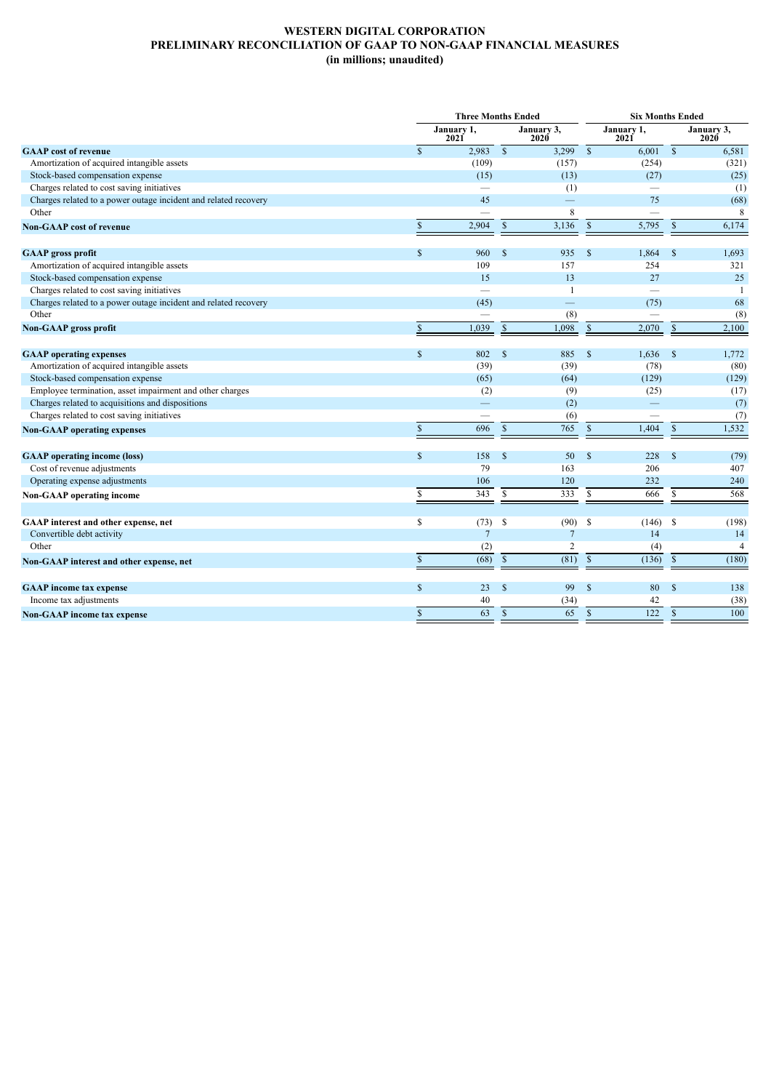#### **WESTERN DIGITAL CORPORATION PRELIMINARY RECONCILIATION OF GAAP TO NON-GAAP FINANCIAL MEASURES (in millions; unaudited)**

| January 1,<br>January 1,<br>January 3,<br>January 3,<br><b>2021</b><br>2020<br>2021<br>2020<br>$2,983$ \$<br>$\overline{3.299}$ \$<br>$6,001$ \$<br>$\mathbb{S}$<br>6,581<br>Amortization of acquired intangible assets<br>(109)<br>(157)<br>(254)<br>(321)<br>Stock-based compensation expense<br>(13)<br>(25)<br>(15)<br>(27)<br>Charges related to cost saving initiatives<br>(1)<br>(1)<br>$\overline{\phantom{0}}$<br>÷.<br>Charges related to a power outage incident and related recovery<br>75<br>45<br>(68)<br>$\equiv$<br>Other<br>$\,$ 8 $\,$<br>8<br>$\overline{\phantom{0}}$<br>$\mathbf S$<br>2,904<br><sup>S</sup><br>3,136<br>$\mathbf{\hat{S}}$<br>5,795<br>$\mathbb{S}$<br>6,174<br>\$<br>960<br><sup>S</sup><br>935<br>$\mathbb{S}$<br>1,864<br><sup>\$</sup><br>1,693<br>Amortization of acquired intangible assets<br>109<br>157<br>254<br>321<br>Stock-based compensation expense<br>15<br>13<br>27<br>25<br>Charges related to cost saving initiatives<br>$\mathbf{1}$<br>$\overline{1}$<br>$\overline{\phantom{0}}$<br>Charges related to a power outage incident and related recovery<br>(45)<br>68<br>(75)<br>$\equiv$<br>Other<br>(8)<br>(8)<br>2,100<br>1,039<br>$\mathbb{S}$<br>1,098<br>2,070<br><sup>\$</sup><br>\$<br>802<br>1,636<br>1,772<br>\$<br><sup>S</sup><br>885<br>$\mathbb{S}$<br><sup>\$</sup><br>Amortization of acquired intangible assets<br>(39)<br>(39)<br>(78)<br>(80)<br>Stock-based compensation expense<br>(64)<br>(129)<br>(129)<br>(65)<br>Employee termination, asset impairment and other charges<br>(9)<br>(17)<br>(2)<br>(25)<br>Charges related to acquisitions and dispositions<br>(2)<br>(7)<br>$\frac{1}{2}$<br>Charges related to cost saving initiatives<br>(6)<br>(7)<br>1,532<br>765<br>1.404<br>696<br>$\mathbf{s}$<br>$\mathbf{\hat{s}}$<br>$\mathbb{S}$<br>158<br><b>GAAP</b> operating income (loss)<br>\$<br><sup>S</sup><br>50<br><sup>\$</sup><br>228<br>$\mathbb{S}$<br>(79)<br>79<br>163<br>Cost of revenue adjustments<br>206<br>407<br>Operating expense adjustments<br>106<br>120<br>232<br>240<br>343<br>333<br>666<br>568<br><sup>\$</sup><br>\$<br>\$<br>S<br>GAAP interest and other expense, net<br>\$<br>(73)<br>(90)<br>(198)<br>-S<br>-S<br>(146)<br>$\mathbf{s}$<br>$\overline{7}$<br>14<br>14<br>Convertible debt activity<br>$7\phantom{.0}$<br>2<br>Other<br>(4)<br>(2)<br>$\overline{4}$<br>(68)<br>$\mathbb{S}$<br>(180)<br>$\mathbf{s}$<br>(81)<br>(136)<br>\$<br>$\mathbb{S}$<br>99<br>80<br>\$<br>23<br>$\mathbf{s}$<br>$\mathbf{\hat{S}}$<br>$\mathbb{S}$<br>138<br><b>GAAP</b> income tax expense<br>40<br>42<br>Income tax adjustments<br>(34)<br>(38)<br>122<br>100 |                                          | <b>Three Months Ended</b> |             |    |               | <b>Six Months Ended</b> |               |  |  |
|------------------------------------------------------------------------------------------------------------------------------------------------------------------------------------------------------------------------------------------------------------------------------------------------------------------------------------------------------------------------------------------------------------------------------------------------------------------------------------------------------------------------------------------------------------------------------------------------------------------------------------------------------------------------------------------------------------------------------------------------------------------------------------------------------------------------------------------------------------------------------------------------------------------------------------------------------------------------------------------------------------------------------------------------------------------------------------------------------------------------------------------------------------------------------------------------------------------------------------------------------------------------------------------------------------------------------------------------------------------------------------------------------------------------------------------------------------------------------------------------------------------------------------------------------------------------------------------------------------------------------------------------------------------------------------------------------------------------------------------------------------------------------------------------------------------------------------------------------------------------------------------------------------------------------------------------------------------------------------------------------------------------------------------------------------------------------------------------------------------------------------------------------------------------------------------------------------------------------------------------------------------------------------------------------------------------------------------------------------------------------------------------------------------------------------------------------------------------------------------------------------------------------------------------------------------------------------------------------------------------------------------------------------------------|------------------------------------------|---------------------------|-------------|----|---------------|-------------------------|---------------|--|--|
|                                                                                                                                                                                                                                                                                                                                                                                                                                                                                                                                                                                                                                                                                                                                                                                                                                                                                                                                                                                                                                                                                                                                                                                                                                                                                                                                                                                                                                                                                                                                                                                                                                                                                                                                                                                                                                                                                                                                                                                                                                                                                                                                                                                                                                                                                                                                                                                                                                                                                                                                                                                                                                                                        |                                          |                           |             |    |               |                         |               |  |  |
|                                                                                                                                                                                                                                                                                                                                                                                                                                                                                                                                                                                                                                                                                                                                                                                                                                                                                                                                                                                                                                                                                                                                                                                                                                                                                                                                                                                                                                                                                                                                                                                                                                                                                                                                                                                                                                                                                                                                                                                                                                                                                                                                                                                                                                                                                                                                                                                                                                                                                                                                                                                                                                                                        | <b>GAAP</b> cost of revenue              |                           |             |    |               |                         |               |  |  |
|                                                                                                                                                                                                                                                                                                                                                                                                                                                                                                                                                                                                                                                                                                                                                                                                                                                                                                                                                                                                                                                                                                                                                                                                                                                                                                                                                                                                                                                                                                                                                                                                                                                                                                                                                                                                                                                                                                                                                                                                                                                                                                                                                                                                                                                                                                                                                                                                                                                                                                                                                                                                                                                                        |                                          |                           |             |    |               |                         |               |  |  |
|                                                                                                                                                                                                                                                                                                                                                                                                                                                                                                                                                                                                                                                                                                                                                                                                                                                                                                                                                                                                                                                                                                                                                                                                                                                                                                                                                                                                                                                                                                                                                                                                                                                                                                                                                                                                                                                                                                                                                                                                                                                                                                                                                                                                                                                                                                                                                                                                                                                                                                                                                                                                                                                                        |                                          |                           |             |    |               |                         |               |  |  |
|                                                                                                                                                                                                                                                                                                                                                                                                                                                                                                                                                                                                                                                                                                                                                                                                                                                                                                                                                                                                                                                                                                                                                                                                                                                                                                                                                                                                                                                                                                                                                                                                                                                                                                                                                                                                                                                                                                                                                                                                                                                                                                                                                                                                                                                                                                                                                                                                                                                                                                                                                                                                                                                                        |                                          |                           |             |    |               |                         |               |  |  |
|                                                                                                                                                                                                                                                                                                                                                                                                                                                                                                                                                                                                                                                                                                                                                                                                                                                                                                                                                                                                                                                                                                                                                                                                                                                                                                                                                                                                                                                                                                                                                                                                                                                                                                                                                                                                                                                                                                                                                                                                                                                                                                                                                                                                                                                                                                                                                                                                                                                                                                                                                                                                                                                                        |                                          |                           |             |    |               |                         |               |  |  |
|                                                                                                                                                                                                                                                                                                                                                                                                                                                                                                                                                                                                                                                                                                                                                                                                                                                                                                                                                                                                                                                                                                                                                                                                                                                                                                                                                                                                                                                                                                                                                                                                                                                                                                                                                                                                                                                                                                                                                                                                                                                                                                                                                                                                                                                                                                                                                                                                                                                                                                                                                                                                                                                                        |                                          |                           |             |    |               |                         |               |  |  |
|                                                                                                                                                                                                                                                                                                                                                                                                                                                                                                                                                                                                                                                                                                                                                                                                                                                                                                                                                                                                                                                                                                                                                                                                                                                                                                                                                                                                                                                                                                                                                                                                                                                                                                                                                                                                                                                                                                                                                                                                                                                                                                                                                                                                                                                                                                                                                                                                                                                                                                                                                                                                                                                                        | <b>Non-GAAP</b> cost of revenue          |                           |             |    |               |                         |               |  |  |
|                                                                                                                                                                                                                                                                                                                                                                                                                                                                                                                                                                                                                                                                                                                                                                                                                                                                                                                                                                                                                                                                                                                                                                                                                                                                                                                                                                                                                                                                                                                                                                                                                                                                                                                                                                                                                                                                                                                                                                                                                                                                                                                                                                                                                                                                                                                                                                                                                                                                                                                                                                                                                                                                        | <b>GAAP</b> gross profit                 |                           |             |    |               |                         |               |  |  |
|                                                                                                                                                                                                                                                                                                                                                                                                                                                                                                                                                                                                                                                                                                                                                                                                                                                                                                                                                                                                                                                                                                                                                                                                                                                                                                                                                                                                                                                                                                                                                                                                                                                                                                                                                                                                                                                                                                                                                                                                                                                                                                                                                                                                                                                                                                                                                                                                                                                                                                                                                                                                                                                                        |                                          |                           |             |    |               |                         |               |  |  |
|                                                                                                                                                                                                                                                                                                                                                                                                                                                                                                                                                                                                                                                                                                                                                                                                                                                                                                                                                                                                                                                                                                                                                                                                                                                                                                                                                                                                                                                                                                                                                                                                                                                                                                                                                                                                                                                                                                                                                                                                                                                                                                                                                                                                                                                                                                                                                                                                                                                                                                                                                                                                                                                                        |                                          |                           |             |    |               |                         |               |  |  |
|                                                                                                                                                                                                                                                                                                                                                                                                                                                                                                                                                                                                                                                                                                                                                                                                                                                                                                                                                                                                                                                                                                                                                                                                                                                                                                                                                                                                                                                                                                                                                                                                                                                                                                                                                                                                                                                                                                                                                                                                                                                                                                                                                                                                                                                                                                                                                                                                                                                                                                                                                                                                                                                                        |                                          |                           |             |    |               |                         |               |  |  |
|                                                                                                                                                                                                                                                                                                                                                                                                                                                                                                                                                                                                                                                                                                                                                                                                                                                                                                                                                                                                                                                                                                                                                                                                                                                                                                                                                                                                                                                                                                                                                                                                                                                                                                                                                                                                                                                                                                                                                                                                                                                                                                                                                                                                                                                                                                                                                                                                                                                                                                                                                                                                                                                                        |                                          |                           |             |    |               |                         |               |  |  |
|                                                                                                                                                                                                                                                                                                                                                                                                                                                                                                                                                                                                                                                                                                                                                                                                                                                                                                                                                                                                                                                                                                                                                                                                                                                                                                                                                                                                                                                                                                                                                                                                                                                                                                                                                                                                                                                                                                                                                                                                                                                                                                                                                                                                                                                                                                                                                                                                                                                                                                                                                                                                                                                                        |                                          |                           |             |    |               |                         |               |  |  |
|                                                                                                                                                                                                                                                                                                                                                                                                                                                                                                                                                                                                                                                                                                                                                                                                                                                                                                                                                                                                                                                                                                                                                                                                                                                                                                                                                                                                                                                                                                                                                                                                                                                                                                                                                                                                                                                                                                                                                                                                                                                                                                                                                                                                                                                                                                                                                                                                                                                                                                                                                                                                                                                                        | <b>Non-GAAP</b> gross profit             |                           |             |    |               |                         |               |  |  |
|                                                                                                                                                                                                                                                                                                                                                                                                                                                                                                                                                                                                                                                                                                                                                                                                                                                                                                                                                                                                                                                                                                                                                                                                                                                                                                                                                                                                                                                                                                                                                                                                                                                                                                                                                                                                                                                                                                                                                                                                                                                                                                                                                                                                                                                                                                                                                                                                                                                                                                                                                                                                                                                                        | <b>GAAP</b> operating expenses           |                           |             |    |               |                         |               |  |  |
|                                                                                                                                                                                                                                                                                                                                                                                                                                                                                                                                                                                                                                                                                                                                                                                                                                                                                                                                                                                                                                                                                                                                                                                                                                                                                                                                                                                                                                                                                                                                                                                                                                                                                                                                                                                                                                                                                                                                                                                                                                                                                                                                                                                                                                                                                                                                                                                                                                                                                                                                                                                                                                                                        |                                          |                           |             |    |               |                         |               |  |  |
|                                                                                                                                                                                                                                                                                                                                                                                                                                                                                                                                                                                                                                                                                                                                                                                                                                                                                                                                                                                                                                                                                                                                                                                                                                                                                                                                                                                                                                                                                                                                                                                                                                                                                                                                                                                                                                                                                                                                                                                                                                                                                                                                                                                                                                                                                                                                                                                                                                                                                                                                                                                                                                                                        |                                          |                           |             |    |               |                         |               |  |  |
|                                                                                                                                                                                                                                                                                                                                                                                                                                                                                                                                                                                                                                                                                                                                                                                                                                                                                                                                                                                                                                                                                                                                                                                                                                                                                                                                                                                                                                                                                                                                                                                                                                                                                                                                                                                                                                                                                                                                                                                                                                                                                                                                                                                                                                                                                                                                                                                                                                                                                                                                                                                                                                                                        |                                          |                           |             |    |               |                         |               |  |  |
|                                                                                                                                                                                                                                                                                                                                                                                                                                                                                                                                                                                                                                                                                                                                                                                                                                                                                                                                                                                                                                                                                                                                                                                                                                                                                                                                                                                                                                                                                                                                                                                                                                                                                                                                                                                                                                                                                                                                                                                                                                                                                                                                                                                                                                                                                                                                                                                                                                                                                                                                                                                                                                                                        |                                          |                           |             |    |               |                         |               |  |  |
|                                                                                                                                                                                                                                                                                                                                                                                                                                                                                                                                                                                                                                                                                                                                                                                                                                                                                                                                                                                                                                                                                                                                                                                                                                                                                                                                                                                                                                                                                                                                                                                                                                                                                                                                                                                                                                                                                                                                                                                                                                                                                                                                                                                                                                                                                                                                                                                                                                                                                                                                                                                                                                                                        |                                          |                           |             |    |               |                         |               |  |  |
|                                                                                                                                                                                                                                                                                                                                                                                                                                                                                                                                                                                                                                                                                                                                                                                                                                                                                                                                                                                                                                                                                                                                                                                                                                                                                                                                                                                                                                                                                                                                                                                                                                                                                                                                                                                                                                                                                                                                                                                                                                                                                                                                                                                                                                                                                                                                                                                                                                                                                                                                                                                                                                                                        | <b>Non-GAAP</b> operating expenses       |                           |             |    |               |                         |               |  |  |
|                                                                                                                                                                                                                                                                                                                                                                                                                                                                                                                                                                                                                                                                                                                                                                                                                                                                                                                                                                                                                                                                                                                                                                                                                                                                                                                                                                                                                                                                                                                                                                                                                                                                                                                                                                                                                                                                                                                                                                                                                                                                                                                                                                                                                                                                                                                                                                                                                                                                                                                                                                                                                                                                        |                                          |                           |             |    |               |                         |               |  |  |
|                                                                                                                                                                                                                                                                                                                                                                                                                                                                                                                                                                                                                                                                                                                                                                                                                                                                                                                                                                                                                                                                                                                                                                                                                                                                                                                                                                                                                                                                                                                                                                                                                                                                                                                                                                                                                                                                                                                                                                                                                                                                                                                                                                                                                                                                                                                                                                                                                                                                                                                                                                                                                                                                        |                                          |                           |             |    |               |                         |               |  |  |
|                                                                                                                                                                                                                                                                                                                                                                                                                                                                                                                                                                                                                                                                                                                                                                                                                                                                                                                                                                                                                                                                                                                                                                                                                                                                                                                                                                                                                                                                                                                                                                                                                                                                                                                                                                                                                                                                                                                                                                                                                                                                                                                                                                                                                                                                                                                                                                                                                                                                                                                                                                                                                                                                        |                                          |                           |             |    |               |                         |               |  |  |
|                                                                                                                                                                                                                                                                                                                                                                                                                                                                                                                                                                                                                                                                                                                                                                                                                                                                                                                                                                                                                                                                                                                                                                                                                                                                                                                                                                                                                                                                                                                                                                                                                                                                                                                                                                                                                                                                                                                                                                                                                                                                                                                                                                                                                                                                                                                                                                                                                                                                                                                                                                                                                                                                        | <b>Non-GAAP</b> operating income         |                           |             |    |               |                         |               |  |  |
|                                                                                                                                                                                                                                                                                                                                                                                                                                                                                                                                                                                                                                                                                                                                                                                                                                                                                                                                                                                                                                                                                                                                                                                                                                                                                                                                                                                                                                                                                                                                                                                                                                                                                                                                                                                                                                                                                                                                                                                                                                                                                                                                                                                                                                                                                                                                                                                                                                                                                                                                                                                                                                                                        |                                          |                           |             |    |               |                         |               |  |  |
|                                                                                                                                                                                                                                                                                                                                                                                                                                                                                                                                                                                                                                                                                                                                                                                                                                                                                                                                                                                                                                                                                                                                                                                                                                                                                                                                                                                                                                                                                                                                                                                                                                                                                                                                                                                                                                                                                                                                                                                                                                                                                                                                                                                                                                                                                                                                                                                                                                                                                                                                                                                                                                                                        |                                          |                           |             |    |               |                         |               |  |  |
|                                                                                                                                                                                                                                                                                                                                                                                                                                                                                                                                                                                                                                                                                                                                                                                                                                                                                                                                                                                                                                                                                                                                                                                                                                                                                                                                                                                                                                                                                                                                                                                                                                                                                                                                                                                                                                                                                                                                                                                                                                                                                                                                                                                                                                                                                                                                                                                                                                                                                                                                                                                                                                                                        |                                          |                           |             |    |               |                         |               |  |  |
|                                                                                                                                                                                                                                                                                                                                                                                                                                                                                                                                                                                                                                                                                                                                                                                                                                                                                                                                                                                                                                                                                                                                                                                                                                                                                                                                                                                                                                                                                                                                                                                                                                                                                                                                                                                                                                                                                                                                                                                                                                                                                                                                                                                                                                                                                                                                                                                                                                                                                                                                                                                                                                                                        | Non-GAAP interest and other expense, net |                           |             |    |               |                         |               |  |  |
|                                                                                                                                                                                                                                                                                                                                                                                                                                                                                                                                                                                                                                                                                                                                                                                                                                                                                                                                                                                                                                                                                                                                                                                                                                                                                                                                                                                                                                                                                                                                                                                                                                                                                                                                                                                                                                                                                                                                                                                                                                                                                                                                                                                                                                                                                                                                                                                                                                                                                                                                                                                                                                                                        |                                          |                           |             |    |               |                         |               |  |  |
|                                                                                                                                                                                                                                                                                                                                                                                                                                                                                                                                                                                                                                                                                                                                                                                                                                                                                                                                                                                                                                                                                                                                                                                                                                                                                                                                                                                                                                                                                                                                                                                                                                                                                                                                                                                                                                                                                                                                                                                                                                                                                                                                                                                                                                                                                                                                                                                                                                                                                                                                                                                                                                                                        |                                          |                           |             |    |               |                         |               |  |  |
|                                                                                                                                                                                                                                                                                                                                                                                                                                                                                                                                                                                                                                                                                                                                                                                                                                                                                                                                                                                                                                                                                                                                                                                                                                                                                                                                                                                                                                                                                                                                                                                                                                                                                                                                                                                                                                                                                                                                                                                                                                                                                                                                                                                                                                                                                                                                                                                                                                                                                                                                                                                                                                                                        | <b>Non-GAAP</b> income tax expense       | \$<br>63                  | $\mathbf S$ | 65 | $\mathsf{\$}$ |                         | $\mathcal{S}$ |  |  |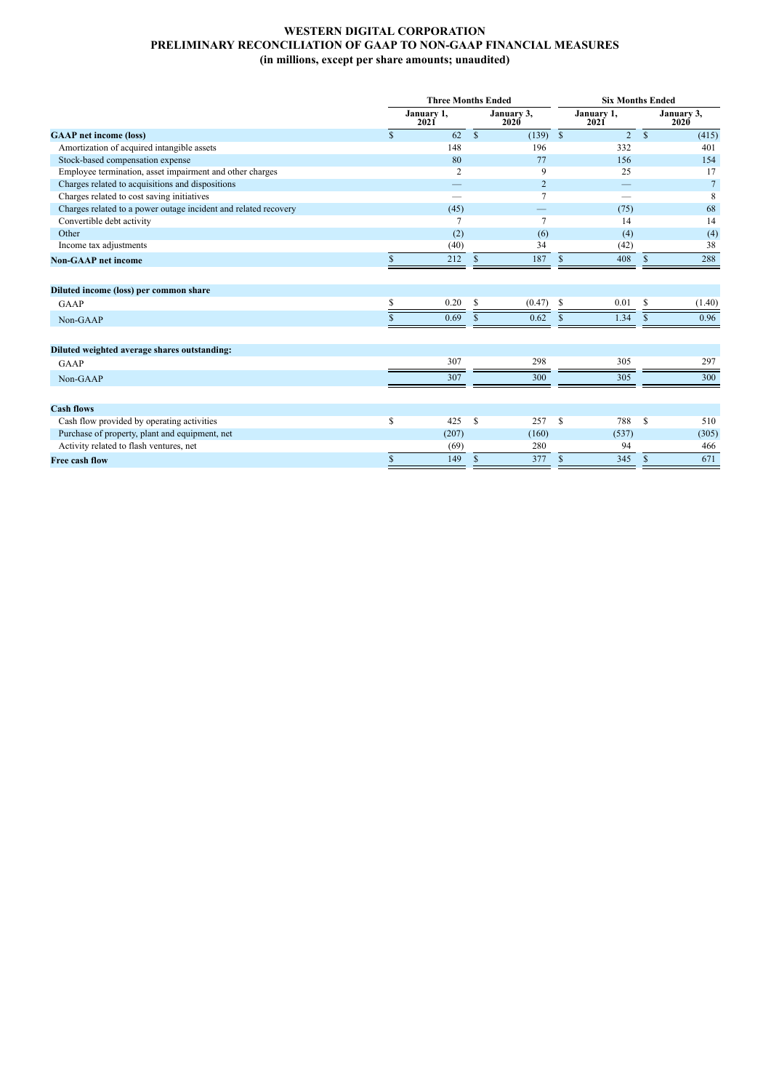#### **WESTERN DIGITAL CORPORATION PRELIMINARY RECONCILIATION OF GAAP TO NON-GAAP FINANCIAL MEASURES (in millions, except per share amounts; unaudited)**

|                                                                 |              | <b>Three Months Ended</b> |               |                           |              | <b>Six Months Ended</b>   |              |                           |  |
|-----------------------------------------------------------------|--------------|---------------------------|---------------|---------------------------|--------------|---------------------------|--------------|---------------------------|--|
|                                                                 |              | January 1,<br>2021        |               | January 3,<br><b>2020</b> |              | January 1,<br><b>2021</b> |              | January 3,<br><b>2020</b> |  |
| <b>GAAP</b> net income (loss)                                   | $\mathbf S$  | 62                        | $\mathbf S$   | (139)                     | $\mathbb{S}$ | $2^{\circ}$               | $\mathbf{s}$ | (415)                     |  |
| Amortization of acquired intangible assets                      |              | 148                       |               | 196                       |              | 332                       |              | 401                       |  |
| Stock-based compensation expense                                |              | 80                        |               | 77                        |              | 156                       |              | 154                       |  |
| Employee termination, asset impairment and other charges        |              | $\overline{2}$            |               | 9                         |              | 25                        |              | 17                        |  |
| Charges related to acquisitions and dispositions                |              |                           |               | $\overline{2}$            |              |                           |              | $\overline{7}$            |  |
| Charges related to cost saving initiatives                      |              |                           |               | 7                         |              |                           |              | 8                         |  |
| Charges related to a power outage incident and related recovery |              | (45)                      |               |                           |              | (75)                      |              | 68                        |  |
| Convertible debt activity                                       |              |                           |               |                           |              | 14                        |              | 14                        |  |
| Other                                                           |              | (2)                       |               | (6)                       |              | (4)                       |              | (4)                       |  |
| Income tax adjustments                                          |              | (40)                      |               | 34                        |              | (42)                      |              | 38                        |  |
| <b>Non-GAAP</b> net income                                      | $\mathbb{S}$ | 212                       | $\mathsf{\$}$ | 187                       | $\mathbb{S}$ | 408                       | \$           | 288                       |  |
|                                                                 |              |                           |               |                           |              |                           |              |                           |  |
| Diluted income (loss) per common share                          |              |                           |               |                           |              |                           |              |                           |  |
| <b>GAAP</b>                                                     | \$           | 0.20                      | S             | (0.47)                    | \$           | 0.01                      | S            | (1.40)                    |  |
| Non-GAAP                                                        |              | 0.69                      |               | 0.62                      |              | 1.34                      |              | 0.96                      |  |
|                                                                 |              |                           |               |                           |              |                           |              |                           |  |
| Diluted weighted average shares outstanding:                    |              |                           |               |                           |              |                           |              |                           |  |
| GAAP                                                            |              | 307                       |               | 298                       |              | 305                       |              | 297                       |  |
| Non-GAAP                                                        |              | 307                       |               | 300                       |              | 305                       |              | 300                       |  |
|                                                                 |              |                           |               |                           |              |                           |              |                           |  |
| <b>Cash flows</b>                                               |              |                           |               |                           |              |                           |              |                           |  |
| Cash flow provided by operating activities                      | \$           | 425                       | <sup>\$</sup> | 257                       | $\mathbb{S}$ | 788                       | S            | 510                       |  |
| Purchase of property, plant and equipment, net                  |              | (207)                     |               | (160)                     |              | (537)                     |              | (305)                     |  |
| Activity related to flash ventures, net                         |              | (69)                      |               | 280                       |              | 94                        |              | 466                       |  |
| Free cash flow                                                  | $\mathbb{S}$ | 149                       | \$            | 377                       | $\mathbb{S}$ | 345                       | $\mathbf{s}$ | 671                       |  |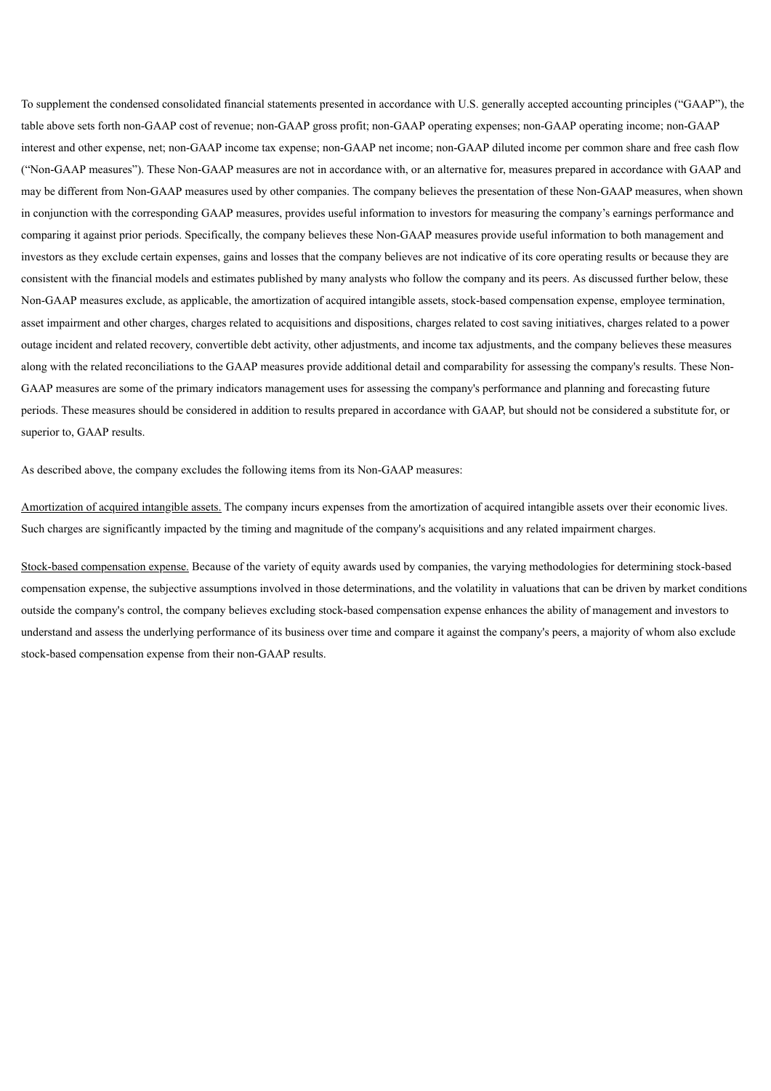To supplement the condensed consolidated financial statements presented in accordance with U.S. generally accepted accounting principles ("GAAP"), the table above sets forth non-GAAP cost of revenue; non-GAAP gross profit; non-GAAP operating expenses; non-GAAP operating income; non-GAAP interest and other expense, net; non-GAAP income tax expense; non-GAAP net income; non-GAAP diluted income per common share and free cash flow ("Non-GAAP measures"). These Non-GAAP measures are not in accordance with, or an alternative for, measures prepared in accordance with GAAP and may be different from Non-GAAP measures used by other companies. The company believes the presentation of these Non-GAAP measures, when shown in conjunction with the corresponding GAAP measures, provides useful information to investors for measuring the company's earnings performance and comparing it against prior periods. Specifically, the company believes these Non-GAAP measures provide useful information to both management and investors as they exclude certain expenses, gains and losses that the company believes are not indicative of its core operating results or because they are consistent with the financial models and estimates published by many analysts who follow the company and its peers. As discussed further below, these Non-GAAP measures exclude, as applicable, the amortization of acquired intangible assets, stock-based compensation expense, employee termination, asset impairment and other charges, charges related to acquisitions and dispositions, charges related to cost saving initiatives, charges related to a power outage incident and related recovery, convertible debt activity, other adjustments, and income tax adjustments, and the company believes these measures along with the related reconciliations to the GAAP measures provide additional detail and comparability for assessing the company's results. These Non-GAAP measures are some of the primary indicators management uses for assessing the company's performance and planning and forecasting future periods. These measures should be considered in addition to results prepared in accordance with GAAP, but should not be considered a substitute for, or superior to, GAAP results.

As described above, the company excludes the following items from its Non-GAAP measures:

Amortization of acquired intangible assets. The company incurs expenses from the amortization of acquired intangible assets over their economic lives. Such charges are significantly impacted by the timing and magnitude of the company's acquisitions and any related impairment charges.

Stock-based compensation expense. Because of the variety of equity awards used by companies, the varying methodologies for determining stock-based compensation expense, the subjective assumptions involved in those determinations, and the volatility in valuations that can be driven by market conditions outside the company's control, the company believes excluding stock-based compensation expense enhances the ability of management and investors to understand and assess the underlying performance of its business over time and compare it against the company's peers, a majority of whom also exclude stock-based compensation expense from their non-GAAP results.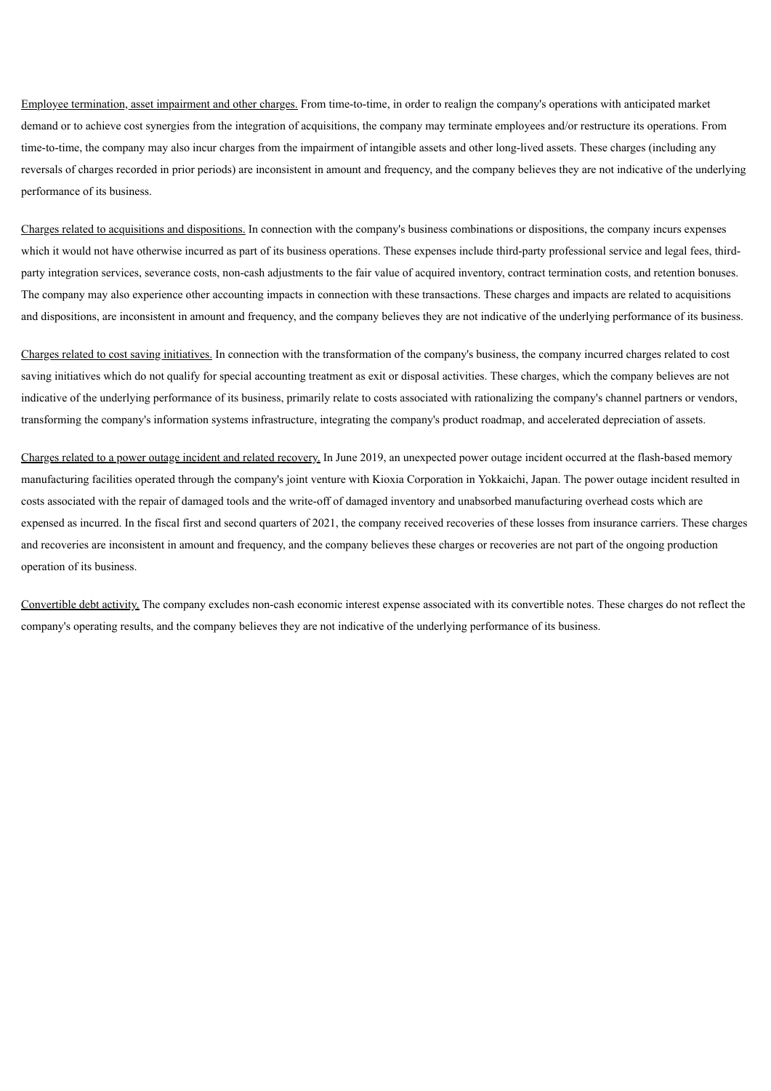Employee termination, asset impairment and other charges. From time-to-time, in order to realign the company's operations with anticipated market demand or to achieve cost synergies from the integration of acquisitions, the company may terminate employees and/or restructure its operations. From time-to-time, the company may also incur charges from the impairment of intangible assets and other long-lived assets. These charges (including any reversals of charges recorded in prior periods) are inconsistent in amount and frequency, and the company believes they are not indicative of the underlying performance of its business.

Charges related to acquisitions and dispositions. In connection with the company's business combinations or dispositions, the company incurs expenses which it would not have otherwise incurred as part of its business operations. These expenses include third-party professional service and legal fees, thirdparty integration services, severance costs, non-cash adjustments to the fair value of acquired inventory, contract termination costs, and retention bonuses. The company may also experience other accounting impacts in connection with these transactions. These charges and impacts are related to acquisitions and dispositions, are inconsistent in amount and frequency, and the company believes they are not indicative of the underlying performance of its business.

Charges related to cost saving initiatives. In connection with the transformation of the company's business, the company incurred charges related to cost saving initiatives which do not qualify for special accounting treatment as exit or disposal activities. These charges, which the company believes are not indicative of the underlying performance of its business, primarily relate to costs associated with rationalizing the company's channel partners or vendors, transforming the company's information systems infrastructure, integrating the company's product roadmap, and accelerated depreciation of assets.

Charges related to a power outage incident and related recovery. In June 2019, an unexpected power outage incident occurred at the flash-based memory manufacturing facilities operated through the company's joint venture with Kioxia Corporation in Yokkaichi, Japan. The power outage incident resulted in costs associated with the repair of damaged tools and the write-off of damaged inventory and unabsorbed manufacturing overhead costs which are expensed as incurred. In the fiscal first and second quarters of 2021, the company received recoveries of these losses from insurance carriers. These charges and recoveries are inconsistent in amount and frequency, and the company believes these charges or recoveries are not part of the ongoing production operation of its business.

Convertible debt activity. The company excludes non-cash economic interest expense associated with its convertible notes. These charges do not reflect the company's operating results, and the company believes they are not indicative of the underlying performance of its business.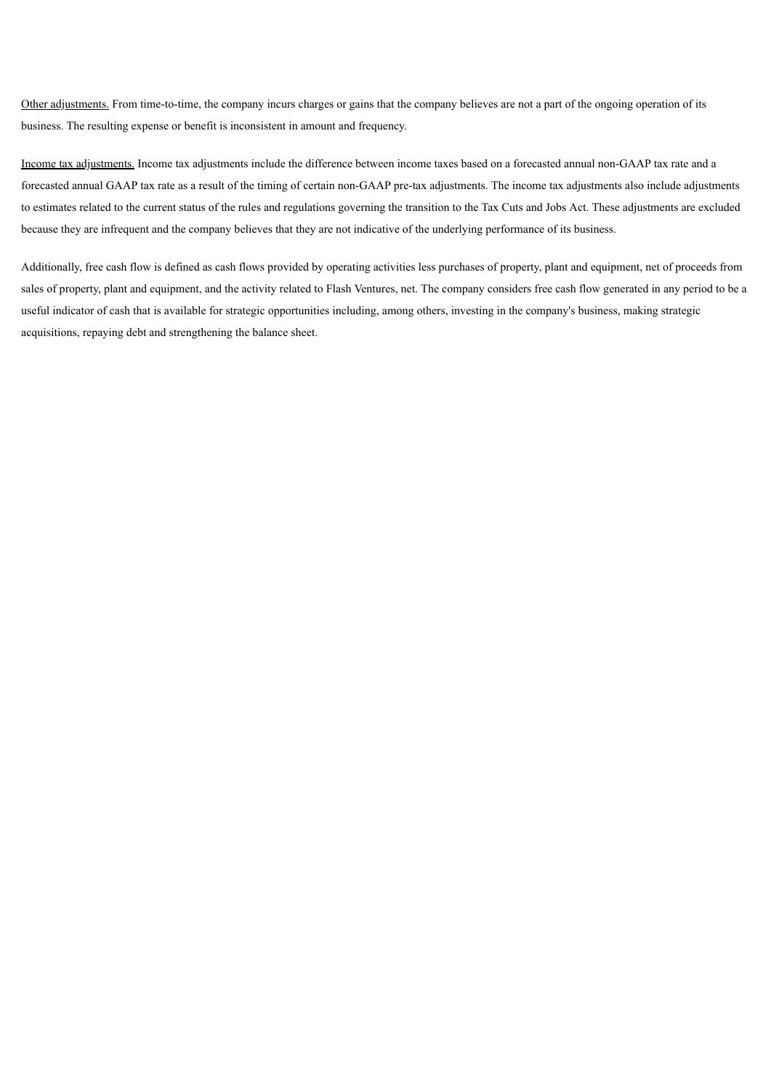Other adjustments. From time-to-time, the company incurs charges or gains that the company believes are not a part of the ongoing operation of its business. The resulting expense or benefit is inconsistent in amount and frequency.

Income tax adjustments. Income tax adjustments include the difference between income taxes based on a forecasted annual non-GAAP tax rate and a forecasted annual GAAP tax rate as a result of the timing of certain non-GAAP pre-tax adjustments. The income tax adjustments also include adjustments to estimates related to the current status of the rules and regulations governing the transition to the Tax Cuts and Jobs Act. These adjustments are excluded because they are infrequent and the company believes that they are not indicative of the underlying performance of its business.

Additionally, free cash flow is defined as cash flows provided by operating activities less purchases of property, plant and equipment, net of proceeds from sales of property, plant and equipment, and the activity related to Flash Ventures, net. The company considers free cash flow generated in any period to be a useful indicator of cash that is available for strategic opportunities including, among others, investing in the company's business, making strategic acquisitions, repaying debt and strengthening the balance sheet.